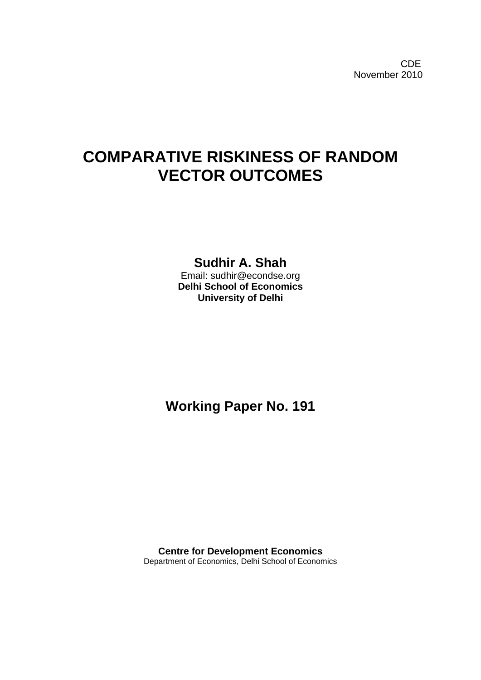**CDE COLLECTION** November 2010

# **COMPARATIVE RISKINESS OF RANDOM VECTOR OUTCOMES**

# **Sudhir A. Shah**

Email: sudhir@econdse.org **Delhi School of Economics University of Delhi** 

**Working Paper No. 191** 

**Centre for Development Economics**  Department of Economics, Delhi School of Economics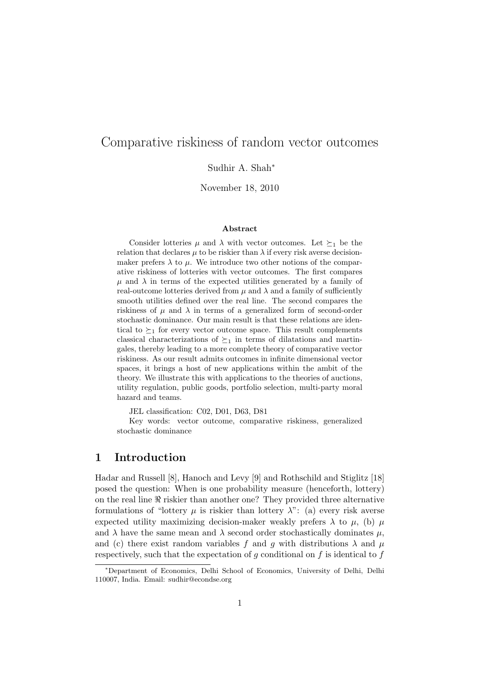# Comparative riskiness of random vector outcomes

Sudhir A. Shah<sup>∗</sup>

November 18, 2010

#### Abstract

Consider lotteries  $\mu$  and  $\lambda$  with vector outcomes. Let  $\succeq_1$  be the relation that declares  $\mu$  to be riskier than  $\lambda$  if every risk averse decisionmaker prefers  $\lambda$  to  $\mu$ . We introduce two other notions of the comparative riskiness of lotteries with vector outcomes. The first compares  $\mu$  and  $\lambda$  in terms of the expected utilities generated by a family of real-outcome lotteries derived from  $\mu$  and  $\lambda$  and a family of sufficiently smooth utilities defined over the real line. The second compares the riskiness of  $\mu$  and  $\lambda$  in terms of a generalized form of second-order stochastic dominance. Our main result is that these relations are identical to  $\succeq_1$  for every vector outcome space. This result complements classical characterizations of  $\succeq_1$  in terms of dilatations and martingales, thereby leading to a more complete theory of comparative vector riskiness. As our result admits outcomes in infinite dimensional vector spaces, it brings a host of new applications within the ambit of the theory. We illustrate this with applications to the theories of auctions, utility regulation, public goods, portfolio selection, multi-party moral hazard and teams.

JEL classification: C02, D01, D63, D81

Key words: vector outcome, comparative riskiness, generalized stochastic dominance

## 1 Introduction

Hadar and Russell [8], Hanoch and Levy [9] and Rothschild and Stiglitz [18] posed the question: When is one probability measure (henceforth, lottery) on the real line  $\Re$  riskier than another one? They provided three alternative formulations of "lottery  $\mu$  is riskier than lottery  $\lambda$ ": (a) every risk averse expected utility maximizing decision-maker weakly prefers  $\lambda$  to  $\mu$ , (b)  $\mu$ and  $\lambda$  have the same mean and  $\lambda$  second order stochastically dominates  $\mu$ , and (c) there exist random variables f and q with distributions  $\lambda$  and  $\mu$ respectively, such that the expectation of  $g$  conditional on  $f$  is identical to  $f$ 

<sup>∗</sup>Department of Economics, Delhi School of Economics, University of Delhi, Delhi 110007, India. Email: sudhir@econdse.org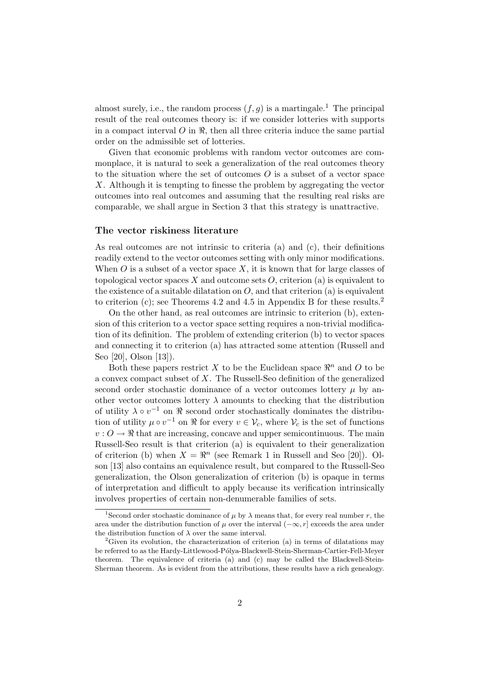almost surely, i.e., the random process  $(f, g)$  is a martingale.<sup>1</sup> The principal result of the real outcomes theory is: if we consider lotteries with supports in a compact interval  $O$  in  $\Re$ , then all three criteria induce the same partial order on the admissible set of lotteries.

Given that economic problems with random vector outcomes are commonplace, it is natural to seek a generalization of the real outcomes theory to the situation where the set of outcomes  $\overline{O}$  is a subset of a vector space X. Although it is tempting to finesse the problem by aggregating the vector outcomes into real outcomes and assuming that the resulting real risks are comparable, we shall argue in Section 3 that this strategy is unattractive.

#### The vector riskiness literature

As real outcomes are not intrinsic to criteria (a) and (c), their definitions readily extend to the vector outcomes setting with only minor modifications. When  $O$  is a subset of a vector space  $X$ , it is known that for large classes of topological vector spaces X and outcome sets  $O$ , criterion (a) is equivalent to the existence of a suitable dilatation on  $O$ , and that criterion (a) is equivalent to criterion (c); see Theorems 4.2 and 4.5 in Appendix B for these results.<sup>2</sup>

On the other hand, as real outcomes are intrinsic to criterion (b), extension of this criterion to a vector space setting requires a non-trivial modification of its definition. The problem of extending criterion (b) to vector spaces and connecting it to criterion (a) has attracted some attention (Russell and Seo [20], Olson [13]).

Both these papers restrict X to be the Euclidean space  $\mathbb{R}^n$  and O to be a convex compact subset of X. The Russell-Seo definition of the generalized second order stochastic dominance of a vector outcomes lottery  $\mu$  by another vector outcomes lottery  $\lambda$  amounts to checking that the distribution of utility  $\lambda \circ v^{-1}$  on  $\Re$  second order stochastically dominates the distribution of utility  $\mu \circ v^{-1}$  on  $\Re$  for every  $v \in \mathcal{V}_c$ , where  $\mathcal{V}_c$  is the set of functions  $v: O \to \Re$  that are increasing, concave and upper semicontinuous. The main Russell-Seo result is that criterion (a) is equivalent to their generalization of criterion (b) when  $X = \mathbb{R}^n$  (see Remark 1 in Russell and Seo [20]). Olson [13] also contains an equivalence result, but compared to the Russell-Seo generalization, the Olson generalization of criterion (b) is opaque in terms of interpretation and difficult to apply because its verification intrinsically involves properties of certain non-denumerable families of sets.

<sup>&</sup>lt;sup>1</sup>Second order stochastic dominance of  $\mu$  by  $\lambda$  means that, for every real number r, the area under the distribution function of  $\mu$  over the interval  $(-\infty, r]$  exceeds the area under the distribution function of  $\lambda$  over the same interval.

<sup>&</sup>lt;sup>2</sup>Given its evolution, the characterization of criterion (a) in terms of dilatations may be referred to as the Hardy-Littlewood-Pólya-Blackwell-Stein-Sherman-Cartier-Fell-Meyer theorem. The equivalence of criteria (a) and (c) may be called the Blackwell-Stein-Sherman theorem. As is evident from the attributions, these results have a rich genealogy.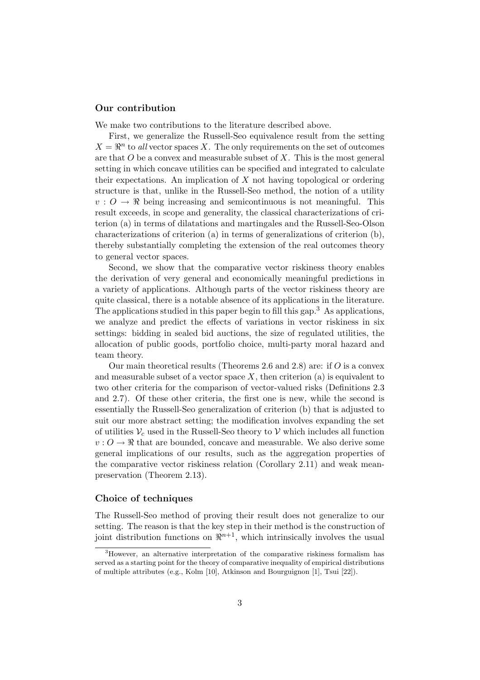### Our contribution

We make two contributions to the literature described above.

First, we generalize the Russell-Seo equivalence result from the setting  $X = \mathbb{R}^n$  to all vector spaces X. The only requirements on the set of outcomes are that  $O$  be a convex and measurable subset of  $X$ . This is the most general setting in which concave utilities can be specified and integrated to calculate their expectations. An implication of  $X$  not having topological or ordering structure is that, unlike in the Russell-Seo method, the notion of a utility  $v: O \to \Re$  being increasing and semicontinuous is not meaningful. This result exceeds, in scope and generality, the classical characterizations of criterion (a) in terms of dilatations and martingales and the Russell-Seo-Olson characterizations of criterion (a) in terms of generalizations of criterion (b), thereby substantially completing the extension of the real outcomes theory to general vector spaces.

Second, we show that the comparative vector riskiness theory enables the derivation of very general and economically meaningful predictions in a variety of applications. Although parts of the vector riskiness theory are quite classical, there is a notable absence of its applications in the literature. The applications studied in this paper begin to fill this gap.<sup>3</sup> As applications, we analyze and predict the effects of variations in vector riskiness in six settings: bidding in sealed bid auctions, the size of regulated utilities, the allocation of public goods, portfolio choice, multi-party moral hazard and team theory.

Our main theoretical results (Theorems 2.6 and 2.8) are: if  $O$  is a convex and measurable subset of a vector space  $X$ , then criterion (a) is equivalent to two other criteria for the comparison of vector-valued risks (Definitions 2.3 and 2.7). Of these other criteria, the first one is new, while the second is essentially the Russell-Seo generalization of criterion (b) that is adjusted to suit our more abstract setting; the modification involves expanding the set of utilities  $V_c$  used in the Russell-Seo theory to V which includes all function  $v: O \to \mathbb{R}$  that are bounded, concave and measurable. We also derive some general implications of our results, such as the aggregation properties of the comparative vector riskiness relation (Corollary 2.11) and weak meanpreservation (Theorem 2.13).

### Choice of techniques

The Russell-Seo method of proving their result does not generalize to our setting. The reason is that the key step in their method is the construction of joint distribution functions on  $\mathbb{R}^{n+1}$ , which intrinsically involves the usual

<sup>3</sup>However, an alternative interpretation of the comparative riskiness formalism has served as a starting point for the theory of comparative inequality of empirical distributions of multiple attributes (e.g., Kolm [10], Atkinson and Bourguignon [1], Tsui [22]).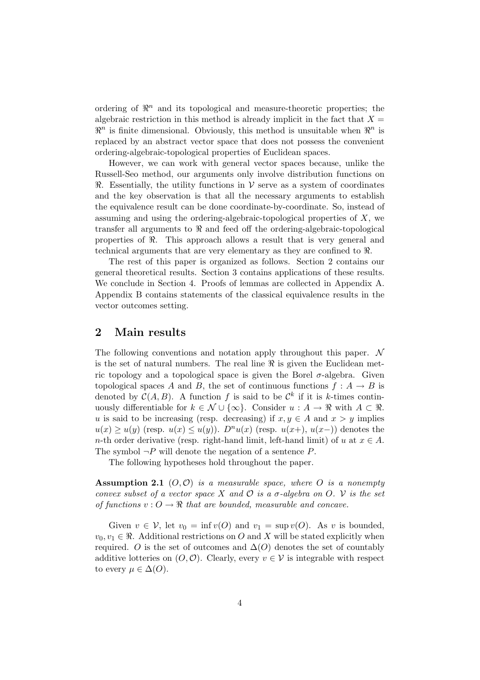ordering of  $\mathbb{R}^n$  and its topological and measure-theoretic properties; the algebraic restriction in this method is already implicit in the fact that  $X =$  $\mathbb{R}^n$  is finite dimensional. Obviously, this method is unsuitable when  $\mathbb{R}^n$  is replaced by an abstract vector space that does not possess the convenient ordering-algebraic-topological properties of Euclidean spaces.

However, we can work with general vector spaces because, unlike the Russell-Seo method, our arguments only involve distribution functions on  $\Re$ . Essentially, the utility functions in V serve as a system of coordinates and the key observation is that all the necessary arguments to establish the equivalence result can be done coordinate-by-coordinate. So, instead of assuming and using the ordering-algebraic-topological properties of  $X$ , we transfer all arguments to  $\Re$  and feed off the ordering-algebraic-topological properties of  $\Re$ . This approach allows a result that is very general and technical arguments that are very elementary as they are confined to  $\Re$ .

The rest of this paper is organized as follows. Section 2 contains our general theoretical results. Section 3 contains applications of these results. We conclude in Section 4. Proofs of lemmas are collected in Appendix A. Appendix B contains statements of the classical equivalence results in the vector outcomes setting.

# 2 Main results

The following conventions and notation apply throughout this paper.  $\mathcal N$ is the set of natural numbers. The real line  $\Re$  is given the Euclidean metric topology and a topological space is given the Borel  $\sigma$ -algebra. Given topological spaces A and B, the set of continuous functions  $f : A \rightarrow B$  is denoted by  $\mathcal{C}(A, B)$ . A function f is said to be  $\mathcal{C}^k$  if it is k-times continuously differentiable for  $k \in \mathcal{N} \cup \{\infty\}$ . Consider  $u : A \to \Re$  with  $A \subset \Re$ . u is said to be increasing (resp. decreasing) if  $x, y \in A$  and  $x > y$  implies  $u(x) \ge u(y)$  (resp.  $u(x) \le u(y)$ ).  $D<sup>n</sup>u(x)$  (resp.  $u(x+)$ ,  $u(x-)$ ) denotes the n-th order derivative (resp. right-hand limit, left-hand limit) of u at  $x \in A$ . The symbol  $\neg P$  will denote the negation of a sentence  $P$ .

The following hypotheses hold throughout the paper.

**Assumption 2.1** ( $O, O$ ) is a measurable space, where O is a nonempty convex subset of a vector space X and  $\mathcal O$  is a  $\sigma$ -algebra on  $O$ . V is the set of functions  $v: O \to \Re$  that are bounded, measurable and concave.

Given  $v \in \mathcal{V}$ , let  $v_0 = \inf v(O)$  and  $v_1 = \sup v(O)$ . As v is bounded,  $v_0, v_1 \in \mathbb{R}$ . Additional restrictions on O and X will be stated explicitly when required. O is the set of outcomes and  $\Delta(O)$  denotes the set of countably additive lotteries on  $(O, O)$ . Clearly, every  $v \in V$  is integrable with respect to every  $\mu \in \Delta(O)$ .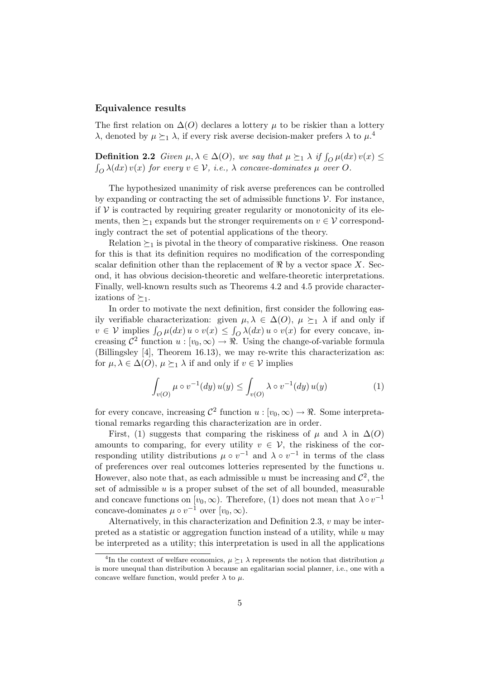### Equivalence results

The first relation on  $\Delta(O)$  declares a lottery  $\mu$  to be riskier than a lottery λ, denoted by  $\mu \succeq_1 \lambda$ , if every risk averse decision-maker prefers λ to  $\mu$ <sup>4</sup>

**Definition 2.2** Given  $\mu, \lambda \in \Delta(O)$ , we say that  $\mu \succeq_1 \lambda$  if  $\int_{O} \mu(dx) v(x) \le$  $\sum_{i=0}^{n} \lambda(dx) v(x)$  for every  $v \in V$ , i.e.,  $\lambda$  concave-dominates  $\mu$  over O.

The hypothesized unanimity of risk averse preferences can be controlled by expanding or contracting the set of admissible functions  $\mathcal V$ . For instance, if  $V$  is contracted by requiring greater regularity or monotonicity of its elements, then  $\succeq_1$  expands but the stronger requirements on  $v \in V$  correspondingly contract the set of potential applications of the theory.

Relation  $\succeq_1$  is pivotal in the theory of comparative riskiness. One reason for this is that its definition requires no modification of the corresponding scalar definition other than the replacement of  $\Re$  by a vector space X. Second, it has obvious decision-theoretic and welfare-theoretic interpretations. Finally, well-known results such as Theorems 4.2 and 4.5 provide characterizations of  $\succeq_1$ .

In order to motivate the next definition, first consider the following easily verifiable characterization: given  $\mu, \lambda \in \Delta(O), \mu \succeq_1 \lambda$  if and only if where  $\lim_{\alpha \to \infty} \int_{\Omega} \mu(dx) u \circ v(x) \leq \int_{\Omega} \lambda(dx) u \circ v(x)$  for every concave, increasing  $\mathcal{C}^2$  function  $u: [v_0, \infty) \to \Re$ . Using the change-of-variable formula (Billingsley [4], Theorem 16.13), we may re-write this characterization as: for  $\mu, \lambda \in \Delta(O), \mu \succeq_1 \lambda$  if and only if  $v \in \mathcal{V}$  implies

$$
\int_{v(O)} \mu \circ v^{-1}(dy) u(y) \le \int_{v(O)} \lambda \circ v^{-1}(dy) u(y) \tag{1}
$$

for every concave, increasing  $\mathcal{C}^2$  function  $u : [v_0, \infty) \to \Re$ . Some interpretational remarks regarding this characterization are in order.

First, (1) suggests that comparing the riskiness of  $\mu$  and  $\lambda$  in  $\Delta(O)$ amounts to comparing, for every utility  $v \in V$ , the riskiness of the corresponding utility distributions  $\mu \circ v^{-1}$  and  $\lambda \circ v^{-1}$  in terms of the class of preferences over real outcomes lotteries represented by the functions u. However, also note that, as each admissible u must be increasing and  $\mathcal{C}^2$ , the set of admissible  $u$  is a proper subset of the set of all bounded, measurable and concave functions on  $[v_0, \infty)$ . Therefore, (1) does not mean that  $\lambda \circ v^{-1}$ concave-dominates  $\mu \circ v^{-1}$  over  $[v_0, \infty)$ .

Alternatively, in this characterization and Definition 2.3,  $v$  may be interpreted as a statistic or aggregation function instead of a utility, while  $u$  may be interpreted as a utility; this interpretation is used in all the applications

<sup>&</sup>lt;sup>4</sup>In the context of welfare economics,  $\mu \succeq_1 \lambda$  represents the notion that distribution  $\mu$ is more unequal than distribution  $\lambda$  because an egalitarian social planner, i.e., one with a concave welfare function, would prefer  $\lambda$  to  $\mu$ .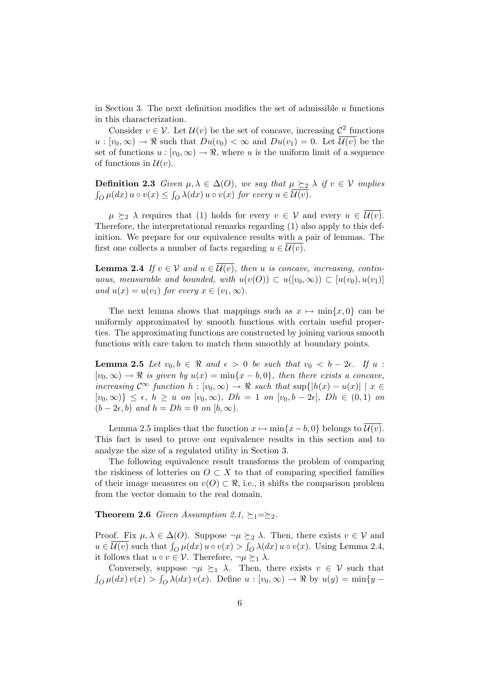in Section 3. The next definition modifies the set of admissible  $u$  functions in this characterization.

Consider  $v \in V$ . Let  $\mathcal{U}(v)$  be the set of concave, increasing  $\mathcal{C}^2$  functions  $u:[v_0,\infty)\to\Re$  such that  $Du(v_0)<\infty$  and  $Du(v_1)=0$ . Let  $\overline{U(v)}$  be the set of functions  $u : [v_0, \infty) \to \mathbb{R}$ , where u is the uniform limit of a sequence of functions in  $\mathcal{U}(v)$ .

**Definition 2.3** Given  $\mu, \lambda \in \Delta(O)$ , we say that  $\mu \geq 2$   $\lambda$  if  $v \in V$  implies  $\int_{O}^{\cdot} \mu(dx) u \circ v(x) \leq \int$  $\int_{O} \lambda(dx) u \circ v(x)$  for every  $u \in \mathcal{U}(v)$ .

 $\mu \succeq_2 \lambda$  requires that (1) holds for every  $v \in V$  and every  $u \in \overline{\mathcal{U}(v)}$ . Therefore, the interpretational remarks regarding (1) also apply to this definition. We prepare for our equivalence results with a pair of lemmas. The first one collects a number of facts regarding  $u \in \mathcal{U}(v)$ .

**Lemma 2.4** If  $v \in V$  and  $u \in \mathcal{U}(v)$ , then u is concave, increasing, continuous, measurable and bounded, with  $u(v(O)) \subset u([v_0,\infty)) \subset [u(v_0),u(v_1)]$ and  $u(x) = u(v_1)$  for every  $x \in (v_1, \infty)$ .

The next lemma shows that mappings such as  $x \mapsto \min\{x, 0\}$  can be uniformly approximated by smooth functions with certain useful properties. The approximating functions are constructed by joining various smooth functions with care taken to match them smoothly at boundary points.

**Lemma 2.5** Let  $v_0, b \in \Re$  and  $\epsilon > 0$  be such that  $v_0 < b - 2\epsilon$ . If  $u$ :  $[v_0, \infty) \to \Re$  is given by  $u(x) = \min\{x - b, 0\}$ , then there exists a concave, increasing  $\mathcal{C}^{\infty}$  function  $h : [v_0, \infty) \to \mathbb{R}$  such that  $\sup\{|h(x) - u(x)| \mid x \in \mathbb{R}\}$  $[v_0, \infty)\}\leq \epsilon$ ,  $h \geq u$  on  $[v_0, \infty)$ ,  $Dh = 1$  on  $[v_0, b - 2\epsilon]$ ,  $Dh \in (0, 1)$  on  $(b-2\epsilon, b)$  and  $h = Dh = 0$  on  $[b, \infty)$ .

Lemma 2.5 implies that the function  $x \mapsto \min\{x-b, 0\}$  belongs to  $\overline{\mathcal{U}(v)}$ . This fact is used to prove our equivalence results in this section and to analyze the size of a regulated utility in Section 3.

The following equivalence result transforms the problem of comparing the riskiness of lotteries on  $O \subset X$  to that of comparing specified families of their image measures on  $v(O) \subset \Re$ , i.e., it shifts the comparison problem from the vector domain to the real domain.

**Theorem 2.6** Given Assumption 2.1,  $\succeq_1=\succeq_2$ .

Proof. Fix  $\mu, \lambda \in \Delta(O)$ . Suppose  $\neg \mu \succeq_2 \lambda$ . Then, there exists  $v \in V$  and  $u \in \overline{\mathcal{U}(v)}$  such that  $\int_{\Omega} \mu(dx) u \circ v(x) > \int_{\Omega} \lambda(dx) u \circ v(x)$ . Using Lemma 2.4, it follows that  $u \circ v \in \mathcal{V}$ . Therefore,  $\neg \mu \succeq_1 \lambda$ .

Conversely, suppose  $\neg \mu \succeq_1 \lambda$ . Then, there exists  $v \in V$  such that R  $\int_{O} \mu(dx) v(x) > \int_{O} \lambda(dx) v(x)$ . Define  $u : [v_0, \infty) \to \Re$  by  $u(y) = \min\{y - \Phi(y) \}$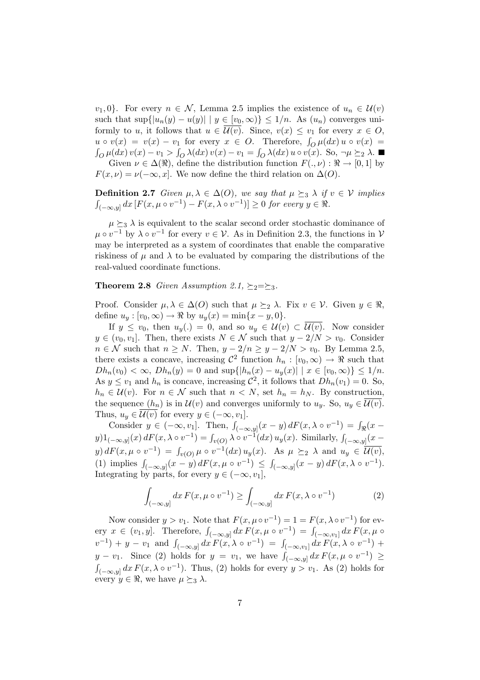$v_1, 0$ . For every  $n \in \mathcal{N}$ , Lemma 2.5 implies the existence of  $u_n \in \mathcal{U}(v)$ such that  $\sup\{|u_n(y) - u(y)| \mid y \in [v_0, \infty)\} \leq 1/n$ . As  $(u_n)$  converges uniformly to u, it follows that  $u \in \overline{\mathcal{U}(v)}$ . Since,  $v(x) \leq v_1$  for every  $x \in \mathcal{O}$ , to  $v(x) = v(x) - v_1$  for every  $x \in O$ . Therefore,  $\int_{O} \mu(dx) u \circ v(x) =$  $\int_{O} \mu(dx) v(x) - v_1 > \int_{O} \lambda(dx) v(x) - v_1 = \int_{O} \lambda(dx) u \circ v(x)$ . So,  $\neg \mu \succeq_{2} \lambda$ . Given  $\nu \in \Delta(\Re)$ , define the distribution function  $F(., \nu) : \Re \to [0, 1]$  by

 $F(x, \nu) = \nu(-\infty, x]$ . We now define the third relation on  $\Delta(O)$ .

**Definition 2.7** Given  $\mu, \lambda \in \Delta(O)$ , we say that  $\mu \succeq_{3} \lambda$  if  $v \in V$  implies  $\overline{\phantom{a}}$  $\left[(-\infty, y] dx \left[F(x, \mu \circ v^{-1}) - F(x, \lambda \circ v^{-1})\right] \geq 0 \text{ for every } y \in \Re\right].$ 

 $\mu \succeq_3 \lambda$  is equivalent to the scalar second order stochastic dominance of  $\mu \circ v^{-1}$  by  $\lambda \circ v^{-1}$  for every  $v \in \mathcal{V}$ . As in Definition 2.3, the functions in  $\mathcal{V}$ may be interpreted as a system of coordinates that enable the comparative riskiness of  $\mu$  and  $\lambda$  to be evaluated by comparing the distributions of the real-valued coordinate functions.

**Theorem 2.8** Given Assumption 2.1,  $\succeq_2=\succeq_3$ .

Proof. Consider  $\mu, \lambda \in \Delta(O)$  such that  $\mu \succeq_2 \lambda$ . Fix  $v \in \mathcal{V}$ . Given  $y \in \Re$ , define  $u_y : [v_0, \infty) \to \Re$  by  $u_y(x) = \min\{x - y, 0\}.$ 

If  $y \le v_0$ , then  $u_y(.) = 0$ , and so  $u_y \in \mathcal{U}(v) \subset \mathcal{U}(v)$ . Now consider  $y \in (v_0, v_1]$ . Then, there exists  $N \in \mathcal{N}$  such that  $y - 2/N > v_0$ . Consider  $n \in \mathcal{N}$  such that  $n \geq N$ . Then,  $y - 2/n \geq y - 2/N > v_0$ . By Lemma 2.5, there exists a concave, increasing  $\mathcal{C}^2$  function  $h_n : [v_0, \infty) \to \mathbb{R}$  such that  $Dh_n(v_0) < \infty$ ,  $Dh_n(y) = 0$  and  $\sup\{|h_n(x) - u_y(x)| \mid x \in [v_0, \infty)\} \leq 1/n$ . As  $y \le v_1$  and  $h_n$  is concave, increasing  $\mathcal{C}^2$ , it follows that  $Dh_n(v_1) = 0$ . So,  $h_n \in \mathcal{U}(v)$ . For  $n \in \mathcal{N}$  such that  $n \langle N \rangle$ , set  $h_n = h_N$ . By construction, the sequence  $(h_n)$  is in  $\mathcal{U}(v)$  and converges uniformly to  $u_y$ . So,  $u_y \in \mathcal{U}(v)$ . Thus,  $u_y \in \mathcal{U}(v)$  for every  $y \in (-\infty, v_1]$ .

consider  $y \in (-\infty, v_1]$ . Then,  $\int_{(-\infty, y]} (x - y) dF(x, \lambda \circ v^{-1}) = \int_{\Re} (x - y) dF(x, \lambda \circ v^{-1})$ y)  $\frac{1}{(1-\infty,y]}(x) dF(x,\lambda \circ v^{-1}) = \int_{v(O)} \lambda \circ v^{-1}(dx) u_y(x)$ . Similarly,  $\int_{(-\infty,y]} (x-u^{-1}) du$  $y) dF(x, \mu \circ v^{-1}) = \int_{v(O)} \mu \circ v^{-1}(dx) u_y(x).$  As  $\mu \succeq_2 \lambda$  and  $u_y \in \overline{\mathcal{U}(v)},$ (1) implies  $\int_{(-\infty,y]} (x-y) dF(x,\mu \circ v^{-1}) \leq \int_{(-\infty,y]} (x-y) dF(x,\lambda \circ v^{-1}).$ Integrating by parts, for every  $y \in (-\infty, v_1]$ ,

$$
\int_{(-\infty,y]} dx F(x,\mu \circ v^{-1}) \ge \int_{(-\infty,y]} dx F(x,\lambda \circ v^{-1})
$$
\n(2)

Now consider  $y > v_1$ . Note that  $F(x, \mu \circ v^{-1}) = 1 = F(x, \lambda \circ v^{-1})$  for ev-Frow consider  $y > v_1$ . From that  $F(x, \mu \circ v) = 1 - F(x, \lambda \circ v)$  for every  $x \in (v_1, y]$ . Therefore,  $\int_{(-\infty, y]} dx F(x, \mu \circ v^{-1}) = \int_{(-\infty, v_1]} dx F(x, \mu \circ v)$  $(v_1, y_1)$  and  $\int_{(-\infty, y]} dx F(x, \lambda \circ v^{-1}) = \int_{(-\infty, v_1]} dx F(x, \lambda \circ v^{-1}) +$  $y - v_1$ . Since (2) holds for  $y = v_1$ , we have  $\int_{(-\infty, y]} dx F(x, \mu \circ v^{-1}) \ge$  $\int_{(-\infty,y]} dx F(x,\lambda \circ v^{-1})$ . Thus, (2) holds for every  $y > v_1$ . As (2) holds for every  $y \in \Re$ , we have  $\mu \succeq_3 \lambda$ .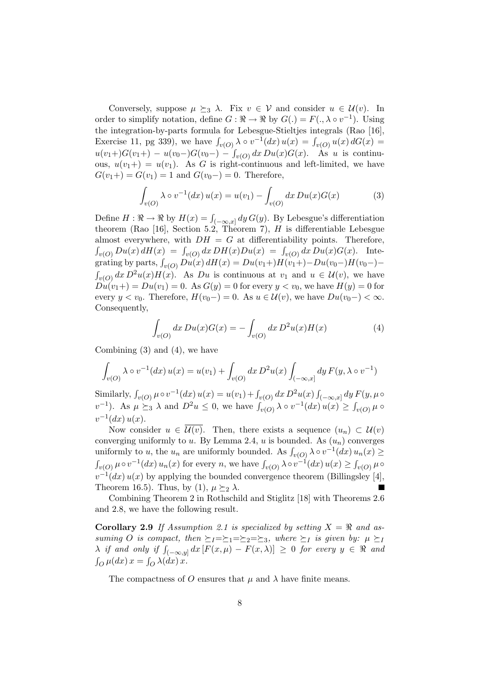Conversely, suppose  $\mu \succeq_3 \lambda$ . Fix  $v \in V$  and consider  $u \in \mathcal{U}(v)$ . In order to simplify notation, define  $G: \mathbb{R} \to \mathbb{R}$  by  $G(.) = F(., \lambda \circ v^{-1})$ . Using the integration-by-parts formula for Lebesgue-Stieltjes integrals (Rao [16], Exercise 11, pg 339), we have  $\int_{v(O)} \lambda \circ v^{-1}(dx) u(x) = \int_{v(O)} u(x) dG(x) =$  $u(v_1+)G(v_1+) - u(v_0-)G(v_0-) - \int_{v(O)} dx D u(x)G(x)$ . As u is continuous,  $u(v_1+) = u(v_1)$ . As G is right-continuous and left-limited, we have  $G(v_1+) = G(v_1) = 1$  and  $G(v_0-) = 0$ . Therefore,

$$
\int_{v(O)} \lambda \circ v^{-1}(dx) u(x) = u(v_1) - \int_{v(O)} dx D u(x) G(x) \tag{3}
$$

Define  $H : \mathbb{R} \to \mathbb{R}$  by  $H(x) = \int_{(-\infty, x]} dy G(y)$ . By Lebesgue's differentiation theorem (Rao [16], Section 5.2, Theorem 7),  $H$  is differentiable Lebesgue almost everywhere, with  $DH = G$  at differentiability points. Therefore,  $\sum_{v(O)} Du(x) dH(x) = \int_{v(O)} dx DH(x) Du(x) = \int_{v(O)} dx Du(x) G(x)$ . Inte $g_{\nu}(O)$   $D u(x) dH(x) = g_{\nu}(O) dx D u(x) dH(x) = D u(v_1+) H(v_1+) - D u(v_0-) H(v_0-) \sum_{v(O)} dx D^2 u(x) H(x)$ . As Du is continuous at  $v_1$  and  $u \in U(v)$ , we have  $Du(v_1+) = Du(v_1) = 0$ . As  $G(y) = 0$  for every  $y < v_0$ , we have  $H(y) = 0$  for every  $y < v_0$ . Therefore,  $H(v_0) = 0$ . As  $u \in \mathcal{U}(v)$ , we have  $Du(v_0-) < \infty$ . Consequently,

$$
\int_{v(O)} dx \, Du(x)G(x) = -\int_{v(O)} dx \, D^2 u(x)H(x) \tag{4}
$$

Combining (3) and (4), we have

$$
\int_{v(O)} \lambda \circ v^{-1}(dx) u(x) = u(v_1) + \int_{v(O)} dx D^2 u(x) \int_{(-\infty, x]} dy F(y, \lambda \circ v^{-1})
$$

Similarly,  $\int_{v(O)} \mu \circ v^{-1}(dx) u(x) = u(v_1) + \int_{v(O)} dx D^2 u(x) \int$  $\int_{(-\infty,x]} dy F(y,\mu\circ$ but the strategy  $v^{(0)}$   $\mu$   $\infty$  (and  $\mu$  and  $\mu$  or  $\mu$  and  $\mu$  or  $\mu$  or  $\mu$  or  $\mu$  and  $\mu$  and  $\mu$  or  $\mu$  or  $\mu$  or  $\mu$  or  $\mu$  or  $\mu$  or  $\mu$  or  $\mu$  or  $\mu$  or  $\mu$  or  $\mu$  or  $\mu$  or  $\mu$  or  $\mu$  or  $v^{-1}(dx) u(x)$ .

Now consider  $u \in \overline{\mathcal{U}(v)}$ . Then, there exists a sequence  $(u_n) \subset \mathcal{U}(v)$ converging uniformly to u. By Lemma 2.4, u is bounded. As  $(u_n)$  converges uniformly to u, the  $u_n$  are uniformly bounded. As  $\int_{v(O)} \lambda \circ v^{-1}(dx) u_n(x) \ge$  $\int_{v(O)} \mu \circ v^{-1}(dx) u_n(x)$  for every n, we have  $\int_{v(O)} \lambda \circ v^{-1}(dx) u(x) \ge \int_{v(O)} \mu \circ v^{-1}(dx)$  $v^{-1}(dx)u(x)$  by applying the bounded convergence theorem (Billingsley [4], Theorem 16.5). Thus, by (1),  $\mu \succeq_2 \lambda$ .

Combining Theorem 2 in Rothschild and Stiglitz [18] with Theorems 2.6 and 2.8, we have the following result.

**Corollary 2.9** If Assumption 2.1 is specialized by setting  $X = \Re$  and assuming O is compact, then  $\succeq_I=\succeq_1=\succeq_2=\succeq_3$ , where  $\succeq_I$  is given by:  $\mu \succeq_I$ Saming  $\bigcirc$  is compact, then  $\frac{p_1-p_2-p_3}{p_1-p_2-p_3}$ , where  $\frac{p_1}{p_1-p_3}$  is given by.  $\mu \leq 1$ <br> $\lambda$  if and only if  $\int_{(-\infty,y]} dx$   $[F(x,\mu) - F(x,\lambda)] \geq 0$  for every  $y \in \Re$  and  $\int_{O} \mu(dx) x = \int_{O} \lambda(dx) x.$ 

The compactness of O ensures that  $\mu$  and  $\lambda$  have finite means.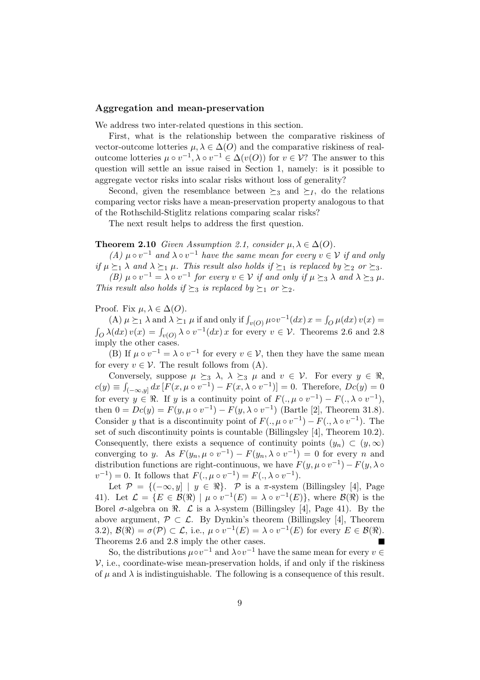### Aggregation and mean-preservation

We address two inter-related questions in this section.

First, what is the relationship between the comparative riskiness of vector-outcome lotteries  $\mu, \lambda \in \Delta(O)$  and the comparative riskiness of realoutcome lotteries  $\mu \circ v^{-1}$ ,  $\lambda \circ v^{-1} \in \Delta(v(O))$  for  $v \in V$ ? The answer to this question will settle an issue raised in Section 1, namely: is it possible to aggregate vector risks into scalar risks without loss of generality?

Second, given the resemblance between  $\succeq_3$  and  $\succeq_I$ , do the relations comparing vector risks have a mean-preservation property analogous to that of the Rothschild-Stiglitz relations comparing scalar risks?

The next result helps to address the first question.

### **Theorem 2.10** Given Assumption 2.1, consider  $\mu, \lambda \in \Delta(O)$ .

(A)  $\mu \circ v^{-1}$  and  $\lambda \circ v^{-1}$  have the same mean for every  $v \in V$  if and only if  $\mu \succeq_1 \lambda$  and  $\lambda \succeq_1 \mu$ . This result also holds if  $\succeq_1$  is replaced by  $\succeq_2$  or  $\succeq_3$ . (B)  $\mu \circ v^{-1} = \lambda \circ v^{-1}$  for every  $v \in V$  if and only if  $\mu \succeq_3 \lambda$  and  $\lambda \succeq_3 \mu$ . This result also holds if  $\succ_3$  is replaced by  $\succ_1$  or  $\succ_2$ .

Proof. Fix  $\mu, \lambda \in \Delta(O)$ .

(A)  $\mu \succeq_1 \lambda$  and  $\lambda \succeq_1 \mu$  if and only if  $\int_{v(O)} \mu \circ v^{-1}(dx) x = \int$  $\int_{Q}^{\cdot} \mu(dx) \, v(x) =$ R  $\int_{O} \lambda(dx) v(x) = \int_{v(O)} \lambda \circ v^{-1}(dx) x$  for every  $v \in V$ . Theorems 2.6 and 2.8 imply the other cases.

(B) If  $\mu \circ v^{-1} = \lambda \circ v^{-1}$  for every  $v \in \mathcal{V}$ , then they have the same mean for every  $v \in \mathcal{V}$ . The result follows from (A).

Conversely, suppose  $\mu \succeq_3 \lambda$ ,  $\lambda \succeq_3 \mu$  and  $v \in \mathcal{V}$ . For every  $y \in \Re$ ,  $c(y) \equiv \int$  $\int_{(-\infty,y]} dx \, [F(x,\mu \circ v^{-1}) - F(x,\lambda \circ v^{-1})] = 0.$  Therefore,  $Dc(y) = 0$ for every  $y \in \mathbb{R}$ . If y is a continuity point of  $F(., \mu \circ v^{-1}) - F(., \lambda \circ v^{-1}),$ then  $0 = Dc(y) = F(y, \mu \circ v^{-1}) - F(y, \lambda \circ v^{-1})$  (Bartle [2], Theorem 31.8). Consider y that is a discontinuity point of  $F(., \mu \circ v^{-1}) - F(., \lambda \circ v^{-1})$ . The set of such discontinuity points is countable (Billingsley [4], Theorem 10.2). Consequently, there exists a sequence of continuity points  $(y_n) \subset (y, \infty)$ converging to y. As  $F(y_n, \mu \circ v^{-1}) - F(y_n, \lambda \circ v^{-1}) = 0$  for every n and distribution functions are right-continuous, we have  $F(y, \mu \circ v^{-1}) - F(y, \lambda \circ$  $v^{-1}$  = 0. It follows that  $F(., \mu \circ v^{-1}) = F(., \lambda \circ v^{-1}).$ 

Let  $\mathcal{P} = \{(-\infty, y] \mid y \in \Re\}$ . P is a  $\pi$ -system (Billingsley [4], Page 41). Let  $\mathcal{L} = \{ E \in \mathcal{B}(\Re) \mid \mu \circ v^{-1}(E) = \lambda \circ v^{-1}(E) \},\$  where  $\mathcal{B}(\Re)$  is the Borel  $\sigma$ -algebra on  $\Re$ .  $\mathcal L$  is a  $\lambda$ -system (Billingsley [4], Page 41). By the above argument,  $\mathcal{P} \subset \mathcal{L}$ . By Dynkin's theorem (Billingsley [4], Theorem 3.2),  $\mathcal{B}(\Re) = \sigma(\mathcal{P}) \subset \mathcal{L}$ , i.e.,  $\mu \circ v^{-1}(E) = \lambda \circ v^{-1}(E)$  for every  $E \in \mathcal{B}(\Re)$ . Theorems 2.6 and 2.8 imply the other cases.

So, the distributions  $\mu \circ v^{-1}$  and  $\lambda \circ v^{-1}$  have the same mean for every  $v \in$  $V$ , i.e., coordinate-wise mean-preservation holds, if and only if the riskiness of  $\mu$  and  $\lambda$  is indistinguishable. The following is a consequence of this result.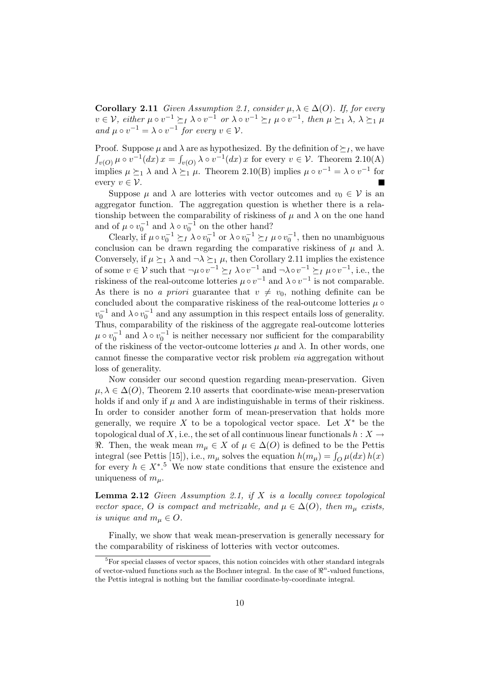**Corollary 2.11** Given Assumption 2.1, consider  $\mu, \lambda \in \Delta(O)$ . If, for every  $v\in\mathcal{V},$  either  $\mu\circ v^{-1}\succeq_I\lambda\circ v^{-1}$  or  $\lambda\circ v^{-1}\succeq_I\mu\circ v^{-1},$  then  $\mu\succeq_1\lambda, \ \lambda\succeq_1\mu$ and  $\mu \circ v^{-1} = \lambda \circ v^{-1}$  for every  $v \in \mathcal{V}$ .

Proof. Suppose  $\mu$  and  $\lambda$  are as hypothesized. By the definition of  $\succeq_I$ , we have  $\overline{1}$  $\sum_{v(O)}^{\infty} \mu \circ v^{-1}(dx) x = \int$  $v_{v(O)} \lambda \circ v^{-1}(dx) x$  for every  $v \in \mathcal{V}$ . Theorem 2.10(A) implies  $\mu \succeq_1 \lambda$  and  $\lambda \succeq_1 \mu$ . Theorem 2.10(B) implies  $\mu \circ v^{-1} = \lambda \circ v^{-1}$  for every  $v \in \mathcal{V}$ .

Suppose  $\mu$  and  $\lambda$  are lotteries with vector outcomes and  $v_0 \in \mathcal{V}$  is an aggregator function. The aggregation question is whether there is a relationship between the comparability of riskiness of  $\mu$  and  $\lambda$  on the one hand and of  $\mu \circ v_0^{-1}$  and  $\lambda \circ v_0^{-1}$  on the other hand?

Clearly, if  $\mu \circ v_0^{-1} \succeq I \lambda \circ v_0^{-1}$  or  $\lambda \circ v_0^{-1} \succeq I \mu \circ v_0^{-1}$ , then no unambiguous conclusion can be drawn regarding the comparative riskiness of  $\mu$  and  $\lambda$ . Conversely, if  $\mu \succeq_1 \lambda$  and  $\neg \lambda \succeq_1 \mu$ , then Corollary 2.11 implies the existence of some  $v \in V$  such that  $\neg \mu \circ v^{-1} \succeq_I \lambda \circ v^{-1}$  and  $\neg \lambda \circ v^{-1} \succeq_I \mu \circ v^{-1}$ , i.e., the riskiness of the real-outcome lotteries  $\mu \circ v^{-1}$  and  $\lambda \circ v^{-1}$  is not comparable. As there is no a priori guarantee that  $v \neq v_0$ , nothing definite can be concluded about the comparative riskiness of the real-outcome lotteries  $\mu \circ$  $v_0^{-1}$  and  $\lambda \circ v_0^{-1}$  and any assumption in this respect entails loss of generality. Thus, comparability of the riskiness of the aggregate real-outcome lotteries  $\mu \circ v_0^{-1}$  and  $\lambda \circ v_0^{-1}$  is neither necessary nor sufficient for the comparability of the riskiness of the vector-outcome lotteries  $\mu$  and  $\lambda$ . In other words, one cannot finesse the comparative vector risk problem via aggregation without loss of generality.

Now consider our second question regarding mean-preservation. Given  $\mu, \lambda \in \Delta(O)$ , Theorem 2.10 asserts that coordinate-wise mean-preservation holds if and only if  $\mu$  and  $\lambda$  are indistinguishable in terms of their riskiness. In order to consider another form of mean-preservation that holds more generally, we require X to be a topological vector space. Let  $X^*$  be the topological dual of X, i.e., the set of all continuous linear functionals  $h: X \to$  $\Re$ . Then, the weak mean  $m_{\mu} \in X$  of  $\mu \in \Delta(O)$  is defined to be the Pettis integral (see Pettis [15]), i.e.,  $m_{\mu}$  solves the equation  $h(m_{\mu}) = \int_{Q} \mu(dx) h(x)$ for every  $h \in X^*$ <sup>5</sup>. We now state conditions that ensure the existence and uniqueness of  $m_\mu$ .

**Lemma 2.12** Given Assumption 2.1, if  $X$  is a locally convex topological vector space, O is compact and metrizable, and  $\mu \in \Delta(O)$ , then  $m_{\mu}$  exists, is unique and  $m_\mu \in O$ .

Finally, we show that weak mean-preservation is generally necessary for the comparability of riskiness of lotteries with vector outcomes.

 ${}^{5}$ For special classes of vector spaces, this notion coincides with other standard integrals of vector-valued functions such as the Bochner integral. In the case of  $\mathbb{R}^n$ -valued functions, the Pettis integral is nothing but the familiar coordinate-by-coordinate integral.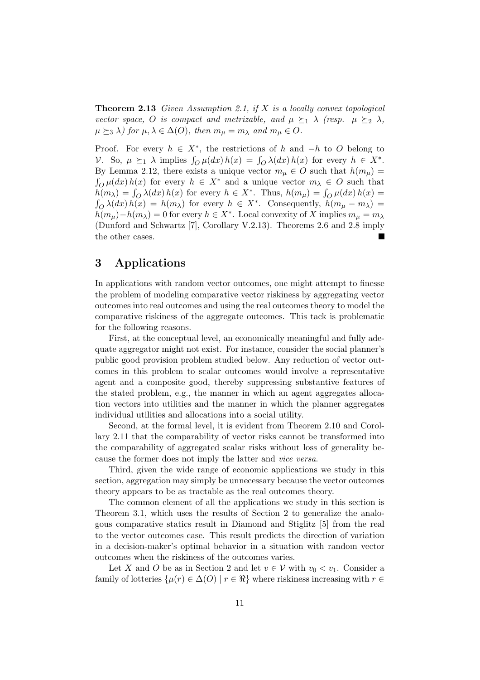**Theorem 2.13** Given Assumption 2.1, if  $X$  is a locally convex topological vector space, O is compact and metrizable, and  $\mu \succeq_1 \lambda$  (resp.  $\mu \succeq_2 \lambda$ ,  $\mu \succeq_3 \lambda$ ) for  $\mu, \lambda \in \Delta(O)$ , then  $m_{\mu} = m_{\lambda}$  and  $m_{\mu} \in O$ .

Proof. For every  $h \in X^*$ , the restrictions of h and  $-h$  to O belong to  $V$ . So,  $\mu \succeq_1 \lambda$  implies  $\int_Q \mu(dx) h(x) = \int_Q \lambda(dx) h(x)$  for every  $h \in X^*$ . By Lemma 2.12, there exists a unique vector  $m_{\mu} \in O$  such that  $h(m_{\mu}) =$  $\int_{O} \mu(dx) h(x)$  for every  $h \in X^*$  and a unique vector  $m_{\lambda} \in O$  such that  $h(m_\lambda) = \int_Q \lambda(dx) h(x)$  for every  $h \in X^*$ . Thus,  $h(m_\mu) = \int_Q \mu(dx) h(x) =$  $\sum_{\alpha} \lambda(dx) h(x) = h(m_{\lambda})$  for every  $h \in X^*$ . Consequently,  $h(m_{\mu} - m_{\lambda}) =$  $h(m_\mu) - h(m_\lambda) = 0$  for every  $h \in X^*$ . Local convexity of X implies  $m_\mu = m_\lambda$ (Dunford and Schwartz [7], Corollary V.2.13). Theorems 2.6 and 2.8 imply the other cases.

# 3 Applications

In applications with random vector outcomes, one might attempt to finesse the problem of modeling comparative vector riskiness by aggregating vector outcomes into real outcomes and using the real outcomes theory to model the comparative riskiness of the aggregate outcomes. This tack is problematic for the following reasons.

First, at the conceptual level, an economically meaningful and fully adequate aggregator might not exist. For instance, consider the social planner's public good provision problem studied below. Any reduction of vector outcomes in this problem to scalar outcomes would involve a representative agent and a composite good, thereby suppressing substantive features of the stated problem, e.g., the manner in which an agent aggregates allocation vectors into utilities and the manner in which the planner aggregates individual utilities and allocations into a social utility.

Second, at the formal level, it is evident from Theorem 2.10 and Corollary 2.11 that the comparability of vector risks cannot be transformed into the comparability of aggregated scalar risks without loss of generality because the former does not imply the latter and vice versa.

Third, given the wide range of economic applications we study in this section, aggregation may simply be unnecessary because the vector outcomes theory appears to be as tractable as the real outcomes theory.

The common element of all the applications we study in this section is Theorem 3.1, which uses the results of Section 2 to generalize the analogous comparative statics result in Diamond and Stiglitz [5] from the real to the vector outcomes case. This result predicts the direction of variation in a decision-maker's optimal behavior in a situation with random vector outcomes when the riskiness of the outcomes varies.

Let X and O be as in Section 2 and let  $v \in V$  with  $v_0 < v_1$ . Consider a family of lotteries  $\{\mu(r) \in \Delta(O) \mid r \in \Re\}$  where riskiness increasing with  $r \in$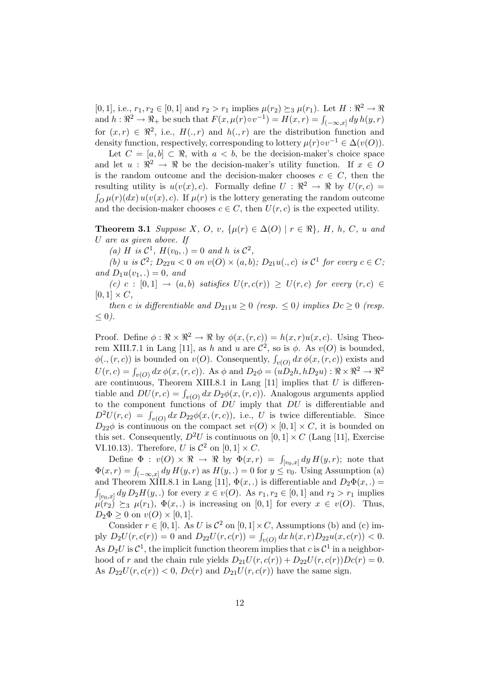[0, 1], i.e.,  $r_1, r_2 \in [0, 1]$  and  $r_2 > r_1$  implies  $\mu(r_2) \succeq_3 \mu(r_1)$ . Let  $H : \mathbb{R}^2 \to \mathbb{R}$  $\mu(r_1)$ . Let  $H : \mathbb{R}^2 \to \mathbb{R}^2$  be such that  $F(x, \mu(r) \circ v^{-1}) = H(x, r) = \int_{(-\infty, x]} dy h(y, r)$ for  $(x, r) \in \mathbb{R}^2$ , i.e.,  $H(., r)$  and  $h(., r)$  are the distribution function and density function, respectively, corresponding to lottery  $\mu(r) \circ v^{-1} \in \Delta(v(O))$ .

Let  $C = [a, b] \subset \Re$ , with  $a < b$ , be the decision-maker's choice space and let  $u : \mathbb{R}^2 \to \mathbb{R}$  be the decision-maker's utility function. If  $x \in O$ is the random outcome and the decision-maker chooses  $c \in C$ , then the resulting utility is  $u(v(x), c)$ . Formally define  $U : \mathbb{R}^2 \to \mathbb{R}$  by  $U(r, c) =$  $\int_{O}^{\cdot} \mu(r)(dx) u(v(x), c)$ . If  $\mu(r)$  is the lottery generating the random outcome and the decision-maker chooses  $c \in C$ , then  $U(r, c)$  is the expected utility.

**Theorem 3.1** Suppose X, O, v,  $\{\mu(r) \in \Delta(O) \mid r \in \Re\}$ , H, h, C, u and U are as given above. If

(a) H is  $\mathcal{C}^1$ ,  $H(v_0,.)=0$  and h is  $\mathcal{C}^2$ ,

(b) u is  $\mathcal{C}^2$ ;  $D_{22}u < 0$  on  $v(O) \times (a, b)$ ;  $D_{21}u(., c)$  is  $\mathcal{C}^1$  for every  $c \in C$ ; and  $D_1u(v_1,.)=0$ , and

(c) c :  $[0,1] \rightarrow (a,b)$  satisfies  $U(r, c(r)) \ge U(r, c)$  for every  $(r, c) \in$  $[0, 1] \times C$ ,

then c is differentiable and  $D_{211}u \geq 0$  (resp.  $\leq 0$ ) implies  $Dc \geq 0$  (resp.  $\leq 0$ ).

Proof. Define  $\phi : \Re \times \Re^2 \to \Re$  by  $\phi(x,(r,c)) = h(x,r)u(x,c)$ . Using Theorem XIII.7.1 in Lang [11], as h and u are  $\mathcal{C}^2$ , so is  $\phi$ . As  $v(O)$  is bounded, For AIL 1.1 in Early [11], as *n* and *a* are C, so is  $\varphi$ . As  $v(\mathcal{O})$  is bounded,<br>  $\phi(., (r, c))$  is bounded on  $v(\mathcal{O})$ . Consequently,  $\int_{v(\mathcal{O})} dx \, \phi(x, (r, c))$  exists and  $U(r, c) = \int_{v(O)} dx \phi(x, (r, c))$ . As  $\phi$  and  $D_2\phi = (uD_2h, hD_2u) : \Re \times \Re^2 \to \Re^2$ are continuous, Theorem XIII.8.1 in Lang [11] implies that  $U$  is differentiable and  $DU(r, c) = \int_{v(O)} dx D_2\phi(x, (r, c))$ . Analogous arguments applied to the component functions of  $DU$  imply that  $DU$  is differentiable and  $D^2U(r, c) = \int_{v(0)} dx D_{22}\phi(x, (r, c))$ , i.e., U is twice differentiable. Since  $D_{22}\phi$  is continuous on the compact set  $v(O) \times [0,1] \times C$ , it is bounded on this set. Consequently,  $D^2U$  is continuous on  $[0, 1] \times C$  (Lang [11], Exercise VI.10.13). Therefore, U is  $\mathcal{C}^2$  on  $[0,1] \times C$ .

Define  $\Phi : v(O) \times \Re \rightarrow \Re$  by  $\Phi(x,r) = \int_{[v_0,x]} dy H(y,r)$ ; note that  $\Phi(x, r) = \int_{(-\infty, x]} dy H(y, r)$  as  $H(y, .) = 0$  for  $y \le v_0$ . Using Assumption (a) and Theorem XIII.8.1 in Lang [11],  $\Phi(x,.)$  is differentiable and  $D_2\Phi(x,.)$  $\int_{[v_0,x]} dy D_2H(y,.)$  for every  $x \in v(O)$ . As  $r_1, r_2 \in [0,1]$  and  $r_2 > r_1$  implies  $\mu(r_2) \succeq_3 \mu(r_1)$ ,  $\Phi(x,.)$  is increasing on [0,1] for every  $x \in v(O)$ . Thus,  $D_2\Phi \geq 0$  on  $v(O) \times [0,1].$ 

Consider  $r \in [0, 1]$ . As U is  $\mathcal{C}^2$  on  $[0, 1] \times C$ , Assumptions (b) and (c) imply  $D_2U(r, c(r)) = 0$  and  $D_{22}U(r, c(r)) = \int_{v(0)} dx h(x, r) D_{22}u(x, c(r)) < 0.$ As  $D_2U$  is  $\mathcal{C}^1$ , the implicit function theorem implies that c is  $\mathcal{C}^1$  in a neighborhood of r and the chain rule yields  $D_{21}U(r, c(r)) + D_{22}U(r, c(r))Dc(r) = 0.$ As  $D_{22}U(r, c(r)) < 0$ ,  $Dc(r)$  and  $D_{21}U(r, c(r))$  have the same sign.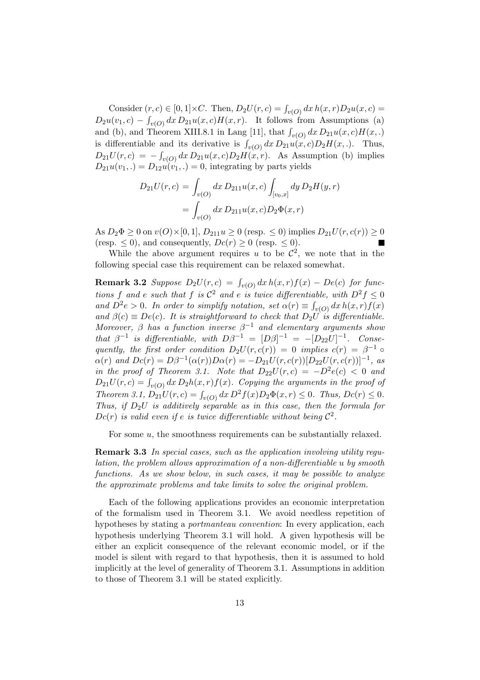Consider  $(r, c) \in [0, 1] \times C$ . Then,  $D_2U(r, c) = \int_{v(O)} dx h(x, r) D_2u(x, c) =$  $D_2u(v_1, c) - \int_{v(0)} dx D_{21}u(x, c)H(x, r)$ . It follows from Assumptions (a) and (b), and Theorem XIII.8.1 in Lang [11], that  $\int_{v(O)} dx D_{21}u(x, c)H(x, .)$ is differentiable and its derivative is  $\int_{v(O)} dx D_{21}u(x, c)D_2H(x, .)$ . Thus,  $D_{21}U(r, c) = -\int_{v(O)} dx D_{21}u(x, c)D_2H(x, r)$ . As Assumption (b) implies  $D_{21}u(v_1,.) = D_{12}u(v_1,.) = 0$ , integrating by parts yields

$$
D_{21}U(r,c) = \int_{v(O)} dx D_{211}u(x,c) \int_{[v_0,x]} dy D_2H(y,r)
$$
  
= 
$$
\int_{v(O)} dx D_{211}u(x,c)D_2\Phi(x,r)
$$

As  $D_2 \Phi \ge 0$  on  $v(O) \times [0, 1], D_{211} u \ge 0$  (resp.  $\le 0$ ) implies  $D_{21} U(r, c(r)) \ge 0$ (resp.  $\leq$  0), and consequently,  $Dc(r) \geq 0$  (resp.  $\leq$  0).

While the above argument requires u to be  $\mathcal{C}^2$ , we note that in the following special case this requirement can be relaxed somewhat.

**Remark 3.2** Suppose  $D_2U(r, c) = \int_{v(O)} dx h(x, r) f(x) - De(c)$  for functions f and e such that f is  $\mathcal{C}^2$  and e is twice differentiable, with  $D^2 f \leq 0$ and  $D^2e > 0$ . In order to simplify notation, set  $\alpha(r) \equiv \beta$  $\int_{v(O)} dx h(x,r) f(x)$ and  $\beta(c) \equiv De(c)$ . It is straightforward to check that  $D_2U$  is differentiable. Moreover,  $\beta$  has a function inverse  $\beta^{-1}$  and elementary arguments show that  $\beta^{-1}$  is differentiable, with  $D\beta^{-1} = [D\beta]^{-1} = -[D_{22}U]^{-1}$ . Consequently, the first order condition  $D_2U(r, c(r)) = 0$  implies  $c(r) = \beta^{-1}$  $\alpha(r)$  and  $Dc(r) = D\beta^{-1}(\alpha(r))D\alpha(r) = -D_{21}U(r,c(r))[D_{22}U(r,c(r))]^{-1}$ , as in the proof of Theorem 3.1. Note that  $D_{22}U(r, c) = -D^2e(c) < 0$  and  $D_{21}U(r, c) = \int_{v(O)} dx D_2h(x, r)f(x)$ . Copying the arguments in the proof of  $\mathcal{L}_{21}^{\text{LO}}(r, e) = \int_{v(O)} dx \, D^2 f(x) D_2 \Phi(x, r) \leq 0.$  Thus,  $Dc(r) \leq 0.$ <br>Theorem 3.1,  $D_{21}U(r, c) = \int_{v(O)} dx \, D^2 f(x) D_2 \Phi(x, r) \leq 0.$ Thus, if  $D_2U$  is additively separable as in this case, then the formula for  $Dc(r)$  is valid even if e is twice differentiable without being  $\mathcal{C}^2$ .

For some  $u$ , the smoothness requirements can be substantially relaxed.

Remark 3.3 In special cases, such as the application involving utility regulation, the problem allows approximation of a non-differentiable u by smooth functions. As we show below, in such cases, it may be possible to analyze the approximate problems and take limits to solve the original problem.

Each of the following applications provides an economic interpretation of the formalism used in Theorem 3.1. We avoid needless repetition of hypotheses by stating a *portmanteau convention*: In every application, each hypothesis underlying Theorem 3.1 will hold. A given hypothesis will be either an explicit consequence of the relevant economic model, or if the model is silent with regard to that hypothesis, then it is assumed to hold implicitly at the level of generality of Theorem 3.1. Assumptions in addition to those of Theorem 3.1 will be stated explicitly.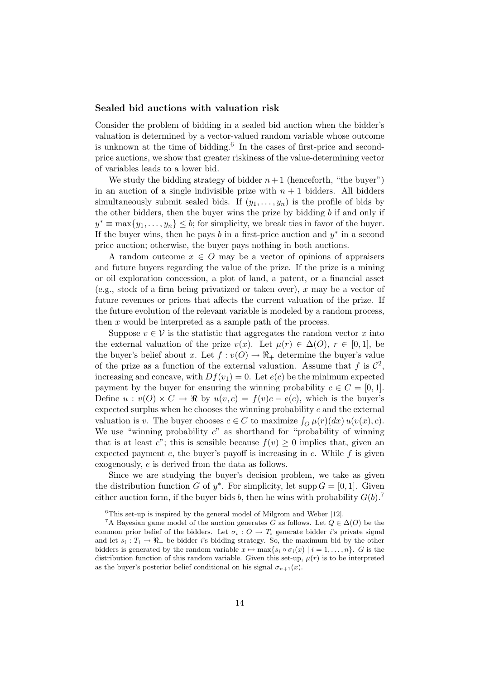### Sealed bid auctions with valuation risk

Consider the problem of bidding in a sealed bid auction when the bidder's valuation is determined by a vector-valued random variable whose outcome is unknown at the time of bidding.<sup>6</sup> In the cases of first-price and secondprice auctions, we show that greater riskiness of the value-determining vector of variables leads to a lower bid.

We study the bidding strategy of bidder  $n+1$  (henceforth, "the buyer") in an auction of a single indivisible prize with  $n + 1$  bidders. All bidders simultaneously submit sealed bids. If  $(y_1, \ldots, y_n)$  is the profile of bids by the other bidders, then the buyer wins the prize by bidding  $b$  if and only if  $y^* \equiv \max\{y_1, \ldots, y_n\} \leq b$ ; for simplicity, we break ties in favor of the buyer. If the buyer wins, then he pays  $b$  in a first-price auction and  $y^*$  in a second price auction; otherwise, the buyer pays nothing in both auctions.

A random outcome  $x \in O$  may be a vector of opinions of appraisers and future buyers regarding the value of the prize. If the prize is a mining or oil exploration concession, a plot of land, a patent, or a financial asset (e.g., stock of a firm being privatized or taken over), x may be a vector of future revenues or prices that affects the current valuation of the prize. If the future evolution of the relevant variable is modeled by a random process, then  $x$  would be interpreted as a sample path of the process.

Suppose  $v \in V$  is the statistic that aggregates the random vector x into the external valuation of the prize  $v(x)$ . Let  $\mu(r) \in \Delta(O)$ ,  $r \in [0,1]$ , be the buyer's belief about x. Let  $f: v(O) \to \mathbb{R}_+$  determine the buyer's value of the prize as a function of the external valuation. Assume that f is  $\mathcal{C}^2$ , increasing and concave, with  $Df(v_1) = 0$ . Let  $e(c)$  be the minimum expected payment by the buyer for ensuring the winning probability  $c \in C = [0, 1]$ . Define  $u: v(O) \times C \to \mathbb{R}$  by  $u(v, c) = f(v)c - e(c)$ , which is the buyer's expected surplus when he chooses the winning probability  $c$  and the external valuation is v. The buyer chooses the winning probability c and the externational valuation is v. The buyer chooses  $c \in C$  to maximize  $\int_{Q} \mu(r)(dx) u(v(x), c)$ . We use "winning probability  $c$ " as shorthand for "probability of winning that is at least c"; this is sensible because  $f(v) \geq 0$  implies that, given an expected payment  $e$ , the buyer's payoff is increasing in  $c$ . While  $f$  is given exogenously, e is derived from the data as follows.

Since we are studying the buyer's decision problem, we take as given the distribution function G of  $y^*$ . For simplicity, let supp  $G = [0, 1]$ . Given either auction form, if the buyer bids b, then he wins with probability  $G(b)$ .<sup>7</sup>

 ${}^{6}$ This set-up is inspired by the general model of Milgrom and Weber [12].

<sup>&</sup>lt;sup>7</sup>A Bayesian game model of the auction generates G as follows. Let  $Q \in \Delta(O)$  be the common prior belief of the bidders. Let  $\sigma_i$ :  $O \to T_i$  generate bidder *i*'s private signal and let  $s_i : T_i \to \mathbb{R}_+$  be bidder i's bidding strategy. So, the maximum bid by the other bidders is generated by the random variable  $x \mapsto \max\{s_i \circ \sigma_i(x) | i = 1, \ldots, n\}$ . G is the distribution function of this random variable. Given this set-up,  $\mu(r)$  is to be interpreted as the buyer's posterior belief conditional on his signal  $\sigma_{n+1}(x)$ .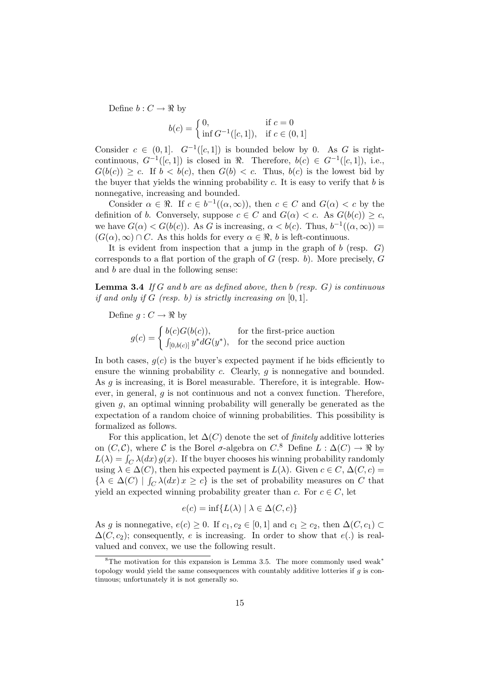Define  $b: C \to \Re$  by

$$
b(c) = \begin{cases} 0, & \text{if } c = 0\\ \inf G^{-1}([c, 1]), & \text{if } c \in (0, 1] \end{cases}
$$

Consider  $c \in (0,1]$ .  $G^{-1}([c,1])$  is bounded below by 0. As G is rightcontinuous,  $G^{-1}([c, 1])$  is closed in  $\Re$ . Therefore,  $b(c) \in G^{-1}([c, 1])$ , i.e.,  $G(b(c)) \geq c$ . If  $b < b(c)$ , then  $G(b) < c$ . Thus,  $b(c)$  is the lowest bid by the buyer that yields the winning probability  $c$ . It is easy to verify that  $b$  is nonnegative, increasing and bounded.

Consider  $\alpha \in \mathbb{R}$ . If  $c \in b^{-1}((\alpha,\infty))$ , then  $c \in C$  and  $G(\alpha) < c$  by the definition of b. Conversely, suppose  $c \in C$  and  $G(\alpha) < c$ . As  $G(b(c)) \geq c$ , we have  $G(\alpha) < G(b(c))$ . As G is increasing,  $\alpha < b(c)$ . Thus,  $b^{-1}((\alpha, \infty))$  =  $(G(\alpha), \infty) \cap C$ . As this holds for every  $\alpha \in \mathcal{R}$ , b is left-continuous.

It is evident from inspection that a jump in the graph of  $b$  (resp.  $G$ ) corresponds to a flat portion of the graph of  $G$  (resp. b). More precisely,  $G$ and b are dual in the following sense:

**Lemma 3.4** If G and b are as defined above, then b (resp.  $G$ ) is continuous if and only if G (resp. b) is strictly increasing on  $[0, 1]$ .

Define  $g: C \to \Re$  by

 $g(c) = \begin{cases}$  $b(c)G(b(c)),$  for the first-price auction<br>  $\int_{[0,b(c)]} y^* dG(y^*),$  for the second price auction

In both cases,  $g(c)$  is the buyer's expected payment if he bids efficiently to ensure the winning probability  $c$ . Clearly,  $g$  is nonnegative and bounded. As  $q$  is increasing, it is Borel measurable. Therefore, it is integrable. However, in general,  $g$  is not continuous and not a convex function. Therefore, given  $g$ , an optimal winning probability will generally be generated as the expectation of a random choice of winning probabilities. This possibility is formalized as follows.

For this application, let  $\Delta(C)$  denote the set of *finitely* additive lotteries on  $(C, \mathcal{C})$ , where  $\mathcal C$  is the Borel  $\sigma$ -algebra on  $C^8$ . Define  $L : \Delta(C) \to \Re$  by  $L(\lambda) = \int_C \lambda(dx) g(x)$ . If the buyer chooses his winning probability randomly using  $\lambda \in \Delta(C)$ , then his expected payment is  $L(\lambda)$ . Given  $c \in C$ ,  $\Delta(C, c) =$  $\{\lambda \in \Delta(C) \mid \int_C \lambda(dx) x \geq c\}$  is the set of probability measures on C that yield an expected winning probability greater than c. For  $c \in C$ , let

$$
e(c) = \inf\{L(\lambda) \mid \lambda \in \Delta(C, c)\}\
$$

As g is nonnegative,  $e(c) \geq 0$ . If  $c_1, c_2 \in [0, 1]$  and  $c_1 \geq c_2$ , then  $\Delta(C, c_1) \subset$  $\Delta(C, c_2)$ ; consequently, e is increasing. In order to show that e(.) is realvalued and convex, we use the following result.

<sup>&</sup>lt;sup>8</sup>The motivation for this expansion is Lemma 3.5. The more commonly used weak<sup>\*</sup> topology would yield the same consequences with countably additive lotteries if g is continuous; unfortunately it is not generally so.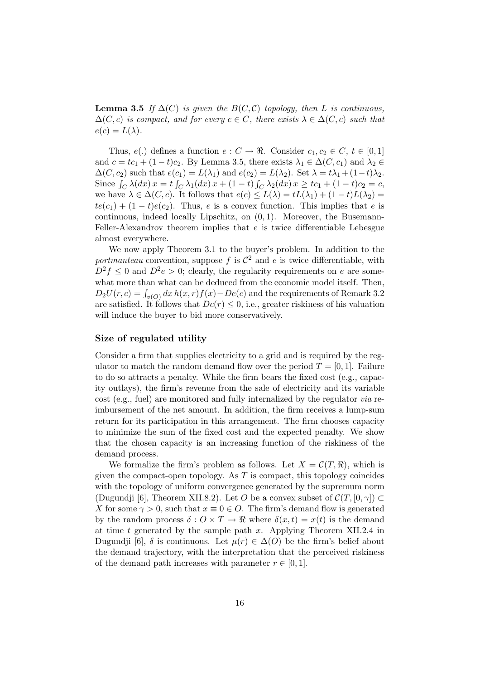**Lemma 3.5** If  $\Delta(C)$  is given the  $B(C, C)$  topology, then L is continuous,  $\Delta(C, c)$  is compact, and for every  $c \in C$ , there exists  $\lambda \in \Delta(C, c)$  such that  $e(c) = L(\lambda).$ 

Thus,  $e(.)$  defines a function  $e: C \to \mathbb{R}$ . Consider  $c_1, c_2 \in C$ ,  $t \in [0, 1]$ and  $c = tc_1 + (1-t)c_2$ . By Lemma 3.5, there exists  $\lambda_1 \in \Delta(C, c_1)$  and  $\lambda_2 \in$  $\Delta(C, c_2)$  such that  $e(c_1) = L(\lambda_1)$  and  $e(c_2) = L(\lambda_2)$ . Set  $\lambda = t\lambda_1 + (1-t)\lambda_2$ . Since  $\int_C \lambda(dx) x = t \int_C \lambda_1(dx) x + (1-t) \int_C \lambda_2(dx) x \geq tc_1 + (1-t)c_2 = c$ , we have  $\lambda \in \Delta(C, c)$ . It follows that  $e(c) \leq L(\lambda) = tL(\lambda_1) + (1-t)L(\lambda_2) =$  $te(c_1) + (1-t)e(c_2)$ . Thus, e is a convex function. This implies that e is continuous, indeed locally Lipschitz, on  $(0, 1)$ . Moreover, the Busemann-Feller-Alexandrov theorem implies that e is twice differentiable Lebesgue almost everywhere.

We now apply Theorem 3.1 to the buyer's problem. In addition to the portmanteau convention, suppose f is  $\mathcal{C}^2$  and e is twice differentiable, with  $D^2 f \leq 0$  and  $D^2 e > 0$ ; clearly, the regularity requirements on e are somewhat more than what can be deduced from the economic model itself. Then, what more than what can be deduced noni the economic model itsen. Then,<br> $D_2U(r, c) = \int_{v(O)} dx h(x, r) f(x) - De(c)$  and the requirements of Remark 3.2 are satisfied. It follows that  $Dc(r) \leq 0$ , i.e., greater riskiness of his valuation will induce the buyer to bid more conservatively.

### Size of regulated utility

Consider a firm that supplies electricity to a grid and is required by the regulator to match the random demand flow over the period  $T = [0, 1]$ . Failure to do so attracts a penalty. While the firm bears the fixed cost (e.g., capacity outlays), the firm's revenue from the sale of electricity and its variable cost (e.g., fuel) are monitored and fully internalized by the regulator via reimbursement of the net amount. In addition, the firm receives a lump-sum return for its participation in this arrangement. The firm chooses capacity to minimize the sum of the fixed cost and the expected penalty. We show that the chosen capacity is an increasing function of the riskiness of the demand process.

We formalize the firm's problem as follows. Let  $X = \mathcal{C}(T, \Re)$ , which is given the compact-open topology. As  $T$  is compact, this topology coincides with the topology of uniform convergence generated by the supremum norm (Dugundji [6], Theorem XII.8.2). Let O be a convex subset of  $\mathcal{C}(T, [0, \gamma]) \subset$ X for some  $\gamma > 0$ , such that  $x \equiv 0 \in O$ . The firm's demand flow is generated by the random process  $\delta: O \times T \to \mathbb{R}$  where  $\delta(x, t) = x(t)$  is the demand at time t generated by the sample path  $x$ . Applying Theorem XII.2.4 in Dugundji [6],  $\delta$  is continuous. Let  $\mu(r) \in \Delta(O)$  be the firm's belief about the demand trajectory, with the interpretation that the perceived riskiness of the demand path increases with parameter  $r \in [0, 1]$ .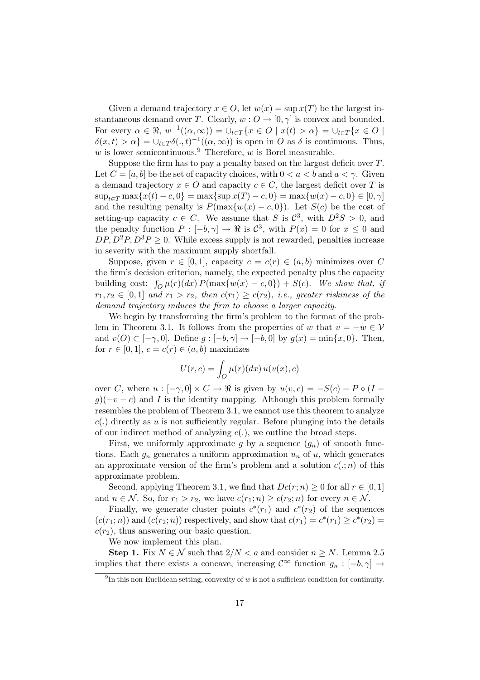Given a demand trajectory  $x \in O$ , let  $w(x) = \sup x(T)$  be the largest instantaneous demand over T. Clearly,  $w: O \to [0, \gamma]$  is convex and bounded. For every  $\alpha \in \mathbb{R}, w^{-1}((\alpha, \infty)) = \bigcup_{t \in T} \{x \in O \mid x(t) > \alpha\} = \bigcup_{t \in T} \{x \in O \mid x(t) > \alpha\}$  $\delta(x,t) > \alpha$ } =  $\cup_{t \in T} \delta(.,t)^{-1}((\alpha,\infty))$  is open in O as  $\delta$  is continuous. Thus, w is lower semicontinuous.<sup>9</sup> Therefore, w is Borel measurable.

Suppose the firm has to pay a penalty based on the largest deficit over  $T$ . Let  $C = [a, b]$  be the set of capacity choices, with  $0 \le a \le b$  and  $a \le \gamma$ . Given a demand trajectory  $x \in O$  and capacity  $c \in C$ , the largest deficit over T is  $\sup_{t \in \mathcal{T}} \max\{x(t) - c, 0\} = \max\{\sup x(T) - c, 0\} = \max\{w(x) - c, 0\} \in [0, \gamma]$ and the resulting penalty is  $P(\max\{w(x) - c, 0\})$ . Let  $S(c)$  be the cost of setting-up capacity  $c \in C$ . We assume that S is  $C^3$ , with  $D^2S > 0$ , and the penalty function  $P: [-b, \gamma] \to \Re$  is  $\mathcal{C}^3$ , with  $P(x) = 0$  for  $x \leq 0$  and  $DP, D^2P, D^3P \geq 0$ . While excess supply is not rewarded, penalties increase in severity with the maximum supply shortfall.

Suppose, given  $r \in [0,1]$ , capacity  $c = c(r) \in (a,b)$  minimizes over C the firm's decision criterion, namely, the expected penalty plus the capacity building cost:  $\int_{O} \mu(r) (dx) P(\max\{w(x) - c, 0\}) + S(c)$ . We show that, if  $r_1, r_2 \in [0,1]$  and  $r_1 > r_2$ , then  $c(r_1) \geq c(r_2)$ , i.e., greater riskiness of the demand trajectory induces the firm to choose a larger capacity.

We begin by transforming the firm's problem to the format of the problem in Theorem 3.1. It follows from the properties of w that  $v = -w \in V$ and  $v(O) \subset [-\gamma, 0]$ . Define  $g: [-b, \gamma] \to [-b, 0]$  by  $g(x) = \min\{x, 0\}$ . Then, for  $r \in [0, 1]$ ,  $c = c(r) \in (a, b)$  maximizes

$$
U(r,c) = \int_O \mu(r)(dx) u(v(x),c)
$$

over C, where  $u : [-\gamma, 0] \times C \to \Re$  is given by  $u(v, c) = -S(c) - P \circ (I$  $g(-v-c)$  and I is the identity mapping. Although this problem formally resembles the problem of Theorem 3.1, we cannot use this theorem to analyze  $c(.)$  directly as u is not sufficiently regular. Before plunging into the details of our indirect method of analyzing  $c(.)$ , we outline the broad steps.

First, we uniformly approximate g by a sequence  $(g_n)$  of smooth functions. Each  $g_n$  generates a uniform approximation  $u_n$  of  $u$ , which generates an approximate version of the firm's problem and a solution  $c(.; n)$  of this approximate problem.

Second, applying Theorem 3.1, we find that  $Dc(r; n) \geq 0$  for all  $r \in [0, 1]$ and  $n \in \mathcal{N}$ . So, for  $r_1 > r_2$ , we have  $c(r_1; n) \geq c(r_2; n)$  for every  $n \in \mathcal{N}$ .

Finally, we generate cluster points  $c^*(r_1)$  and  $c^*(r_2)$  of the sequences  $(c(r_1; n))$  and  $(c(r_2; n))$  respectively, and show that  $c(r_1) = c^*(r_1) \geq c^*(r_2)$  $c(r_2)$ , thus answering our basic question.

We now implement this plan.

Step 1. Fix  $N \in \mathcal{N}$  such that  $2/N < a$  and consider  $n \geq N$ . Lemma 2.5 implies that there exists a concave, increasing  $\mathcal{C}^{\infty}$  function  $g_n : [-b, \gamma] \rightarrow$ 

 $9<sup>9</sup>$ In this non-Euclidean setting, convexity of w is not a sufficient condition for continuity.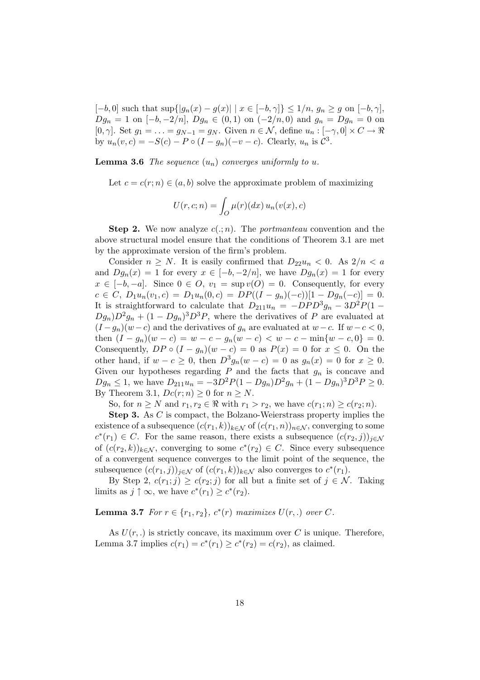$[-b, 0]$  such that  $\sup\{|g_n(x) - g(x)| \mid x \in [-b, \gamma]\} \leq 1/n$ ,  $g_n \geq g$  on  $[-b, \gamma]$ ,  $Dg_n = 1$  on  $[-b, -2/n]$ ,  $Dg_n \in (0, 1)$  on  $(-2/n, 0)$  and  $g_n = Dg_n = 0$  on [0,  $\gamma$ ]. Set  $g_1 = \ldots = g_{N-1} = g_N$ . Given  $n \in \mathcal{N}$ , define  $u_n : [-\gamma, 0] \times C \to \Re$ by  $u_n(v, c) = -S(c) - P \circ (I - g_n)(-v - c)$ . Clearly,  $u_n$  is  $C^3$ .

**Lemma 3.6** The sequence  $(u_n)$  converges uniformly to u.

Let  $c = c(r; n) \in (a, b)$  solve the approximate problem of maximizing

$$
U(r, c; n) = \int_{O} \mu(r) (dx) u_n(v(x), c)
$$

**Step 2.** We now analyze  $c(.; n)$ . The *portmanteau* convention and the above structural model ensure that the conditions of Theorem 3.1 are met by the approximate version of the firm's problem.

Consider  $n \geq N$ . It is easily confirmed that  $D_{22}u_n < 0$ . As  $2/n < a$ and  $Dg_n(x) = 1$  for every  $x \in [-b, -2/n]$ , we have  $Dg_n(x) = 1$  for every  $x \in [-b, -a]$ . Since  $0 \in O$ ,  $v_1 = \sup v(O) = 0$ . Consequently, for every  $c \in C$ ,  $D_1u_n(v_1, c) = D_1u_n(0, c) = DP((I - g_n)(-c))[1 - Dg_n(-c)] = 0.$ It is straightforward to calculate that  $D_{211}u_n = -DPD^3g_n - 3D^2P(1 Dg_n$ ) $D^2g_n + (1 - Dg_n)^3 D^3P$ , where the derivatives of P are evaluated at  $(I - g_n)(w - c)$  and the derivatives of  $g_n$  are evaluated at  $w - c$ . If  $w - c < 0$ , then  $(I - g_n)(w - c) = w - c - g_n(w - c) < w - c - \min\{w - c, 0\} = 0.$ Consequently,  $DP \circ (I - g_n)(w - c) = 0$  as  $P(x) = 0$  for  $x \leq 0$ . On the other hand, if  $w - c \ge 0$ , then  $D^3 g_n(w - c) = 0$  as  $g_n(x) = 0$  for  $x \ge 0$ . Given our hypotheses regarding  $P$  and the facts that  $g_n$  is concave and  $Dg_n \leq 1$ , we have  $D_{211}u_n = -3D^2P(1-Dg_n)D^2g_n + (1-Dg_n)^3D^3P \geq 0$ . By Theorem 3.1,  $Dc(r; n) \geq 0$  for  $n \geq N$ .

So, for  $n \geq N$  and  $r_1, r_2 \in \Re$  with  $r_1 > r_2$ , we have  $c(r_1; n) \geq c(r_2; n)$ .

Step 3. As C is compact, the Bolzano-Weierstrass property implies the existence of a subsequence  $(c(r_1, k))_{k \in \mathcal{N}}$  of  $(c(r_1, n))_{n \in \mathcal{N}}$ , converging to some  $c^*(r_1) \in C$ . For the same reason, there exists a subsequence  $(c(r_2, j))_{j \in \mathcal{N}}$ of  $(c(r_2, k))_{k \in \mathcal{N}}$ , converging to some  $c^*(r_2) \in C$ . Since every subsequence of a convergent sequence converges to the limit point of the sequence, the subsequence  $(c(r_1, j))_{j \in \mathcal{N}}$  of  $(c(r_1, k))_{k \in \mathcal{N}}$  also converges to  $c^*(r_1)$ .

By Step 2,  $c(r_1; j) \geq c(r_2; j)$  for all but a finite set of  $j \in \mathcal{N}$ . Taking limits as  $j \uparrow \infty$ , we have  $c^*(r_1) \geq c^*(r_2)$ .

**Lemma 3.7** For  $r \in \{r_1, r_2\}$ ,  $c^*(r)$  maximizes  $U(r,.)$  over C.

As  $U(r,.)$  is strictly concave, its maximum over C is unique. Therefore, Lemma 3.7 implies  $c(r_1) = c^*(r_1) \ge c^*(r_2) = c(r_2)$ , as claimed.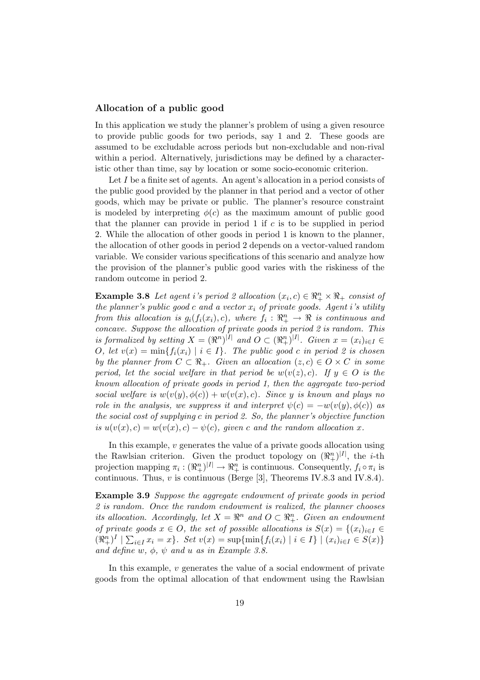### Allocation of a public good

In this application we study the planner's problem of using a given resource to provide public goods for two periods, say 1 and 2. These goods are assumed to be excludable across periods but non-excludable and non-rival within a period. Alternatively, jurisdictions may be defined by a characteristic other than time, say by location or some socio-economic criterion.

Let  $I$  be a finite set of agents. An agent's allocation in a period consists of the public good provided by the planner in that period and a vector of other goods, which may be private or public. The planner's resource constraint is modeled by interpreting  $\phi(c)$  as the maximum amount of public good that the planner can provide in period 1 if  $c$  is to be supplied in period 2. While the allocation of other goods in period 1 is known to the planner, the allocation of other goods in period 2 depends on a vector-valued random variable. We consider various specifications of this scenario and analyze how the provision of the planner's public good varies with the riskiness of the random outcome in period 2.

**Example 3.8** Let agent i's period 2 allocation  $(x_i, c) \in \mathbb{R}_+^n \times \mathbb{R}_+$  consist of the planner's public good c and a vector  $x_i$  of private goods. Agent i's utility from this allocation is  $g_i(f_i(x_i), c)$ , where  $f_i : \mathbb{R}^n_+ \to \mathbb{R}$  is continuous and concave. Suppose the allocation of private goods in period 2 is random. This is formalized by setting  $X = (\Re^n)^{|I|}$  and  $O \subset (\Re^n_+)^{|I|}$ . Given  $x = (x_i)_{i \in I} \in$ O, let  $v(x) = \min\{f_i(x_i) \mid i \in I\}$ . The public good c in period 2 is chosen by the planner from  $C \subset \mathbb{R}_+$ . Given an allocation  $(z, c) \in O \times C$  in some period, let the social welfare in that period be  $w(v(z), c)$ . If  $y \in O$  is the known allocation of private goods in period 1, then the aggregate two-period social welfare is  $w(v(y), \phi(c)) + w(v(x), c)$ . Since y is known and plays no role in the analysis, we suppress it and interpret  $\psi(c) = -w(v(y), \phi(c))$  as the social cost of supplying c in period 2. So, the planner's objective function is  $u(v(x), c) = w(v(x), c) - \psi(c)$ , given c and the random allocation x.

In this example,  $v$  generates the value of a private goods allocation using the Rawlsian criterion. Given the product topology on  $(\Re_{+}^{n})^{|I|}$ , the *i*-th projection mapping  $\pi_i : (\Re_+^n)^{|I|} \to \Re_+^n$  is continuous. Consequently,  $f_i \circ \pi_i$  is continuous. Thus,  $v$  is continuous (Berge [3], Theorems IV.8.3 and IV.8.4).

Example 3.9 Suppose the aggregate endowment of private goods in period 2 is random. Once the random endowment is realized, the planner chooses its allocation. Accordingly, let  $X = \mathbb{R}^n$  and  $O \subset \mathbb{R}^n_+$ . Given an endowment of private goods  $x \in O$ , the set of possible allocations is  $S(x) = \{(x_i)_{i \in I} \in \mathbb{R}^n : i \in I \text{ such that } j \in I \text{ such that } j \in I \text{ such that } j \in I \text{ such that } j \in I \text{ such that } j \in I \text{ such that } j \in I \text{ such that } j \in I \text{ such that } j \in I \text{ such that } j \in I \text{ such that } j \in I \text{ such that } j \in I \text{ such that } j \in I \text{ such that } j \in I$  $(\Re_+^n)^I \mid \sum_{i \in I} x_i = x$ . Set  $v(x) = \sup{\{\min\{f_i(x_i) \mid i \in I\} \mid (x_i)_{i \in I} \in S(x)\}}$ and define  $w, \phi, \psi$  and  $u$  as in Example 3.8.

In this example, v generates the value of a social endowment of private goods from the optimal allocation of that endowment using the Rawlsian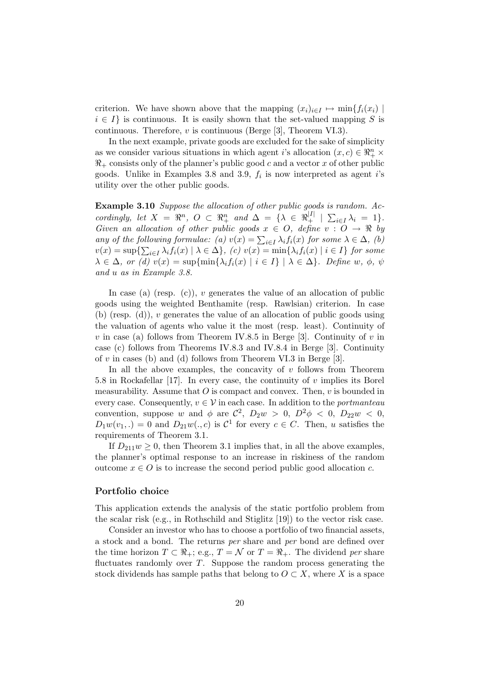criterion. We have shown above that the mapping  $(x_i)_{i\in I} \mapsto \min\{f_i(x_i) \mid$  $i \in I$  is continuous. It is easily shown that the set-valued mapping S is continuous. Therefore,  $v$  is continuous (Berge [3], Theorem VI.3).

In the next example, private goods are excluded for the sake of simplicity as we consider various situations in which agent *i*'s allocation  $(x, c) \in \mathbb{R}_+^n$  ×  $\mathcal{R}_+$  consists only of the planner's public good c and a vector x of other public goods. Unlike in Examples 3.8 and 3.9,  $f_i$  is now interpreted as agent i's utility over the other public goods.

Example 3.10 Suppose the allocation of other public goods is random. Accordingly, let  $X = \mathbb{R}^n$ ,  $O \subset \mathbb{R}^n_+$  and  $\Delta = \{ \lambda \in \mathbb{R}^{|I|}_+ \mid \sum_{i \in I} \lambda_i = 1 \}.$ Given an allocation of other public goods  $x \in O$ , define  $v : O \to \mathbb{R}$  by any of the following formulae: (a)  $v(x) = \sum_{i \in I} \lambda_i f_i(x)$  for some  $\lambda \in \Delta$ , (b)  $v(x) = \sup\{\sum_{i\in I}\lambda_i f_i(x) \mid \lambda \in \Delta\},\ (c)\ v(x) = \min\{\lambda_i f_i(x) \mid i \in I\}\ for\ some$  $\lambda \in \Delta$ , or (d)  $v(x) = \sup{\min{\lambda_i f_i(x) | i \in I} \mid \lambda \in \Delta}$ . Define w,  $\phi$ ,  $\psi$ and u as in Example 3.8.

In case (a) (resp.  $(c)$ ), v generates the value of an allocation of public goods using the weighted Benthamite (resp. Rawlsian) criterion. In case (b) (resp.  $(d)$ ), v generates the value of an allocation of public goods using the valuation of agents who value it the most (resp. least). Continuity of v in case (a) follows from Theorem IV.8.5 in Berge [3]. Continuity of v in case (c) follows from Theorems IV.8.3 and IV.8.4 in Berge [3]. Continuity of  $v$  in cases (b) and (d) follows from Theorem VI.3 in Berge [3].

In all the above examples, the concavity of  $v$  follows from Theorem 5.8 in Rockafellar [17]. In every case, the continuity of  $v$  implies its Borel measurability. Assume that  $O$  is compact and convex. Then,  $v$  is bounded in every case. Consequently,  $v \in V$  in each case. In addition to the *portmanteau* convention, suppose w and  $\phi$  are  $\mathcal{C}^2$ ,  $D_2w > 0$ ,  $D^2\phi < 0$ ,  $D_{22}w < 0$ ,  $D_1w(v_1,.)=0$  and  $D_{21}w(.,c)$  is  $C^1$  for every  $c \in C$ . Then, u satisfies the requirements of Theorem 3.1.

If  $D_{211}w \geq 0$ , then Theorem 3.1 implies that, in all the above examples, the planner's optimal response to an increase in riskiness of the random outcome  $x \in O$  is to increase the second period public good allocation c.

### Portfolio choice

This application extends the analysis of the static portfolio problem from the scalar risk (e.g., in Rothschild and Stiglitz [19]) to the vector risk case.

Consider an investor who has to choose a portfolio of two financial assets, a stock and a bond. The returns per share and per bond are defined over the time horizon  $T \subset \mathbb{R}_+$ ; e.g.,  $T = \mathcal{N}$  or  $T = \mathbb{R}_+$ . The dividend per share fluctuates randomly over  $T$ . Suppose the random process generating the stock dividends has sample paths that belong to  $O \subset X$ , where X is a space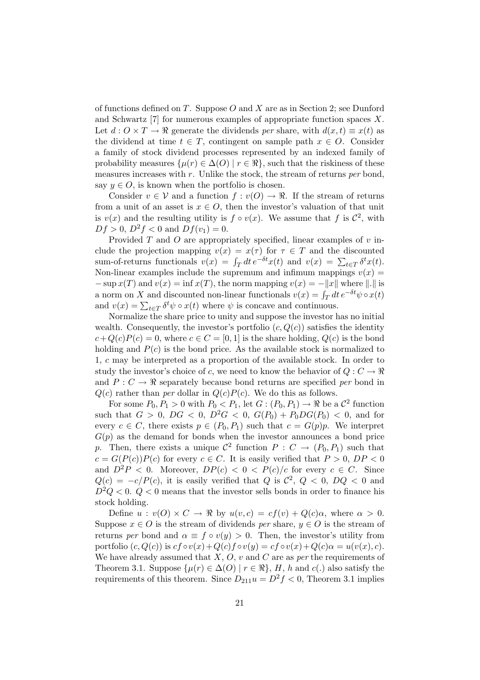of functions defined on T. Suppose  $O$  and X are as in Section 2; see Dunford and Schwartz [7] for numerous examples of appropriate function spaces X. Let  $d: O \times T \to \mathbb{R}$  generate the dividends per share, with  $d(x, t) \equiv x(t)$  as the dividend at time  $t \in T$ , contingent on sample path  $x \in O$ . Consider a family of stock dividend processes represented by an indexed family of probability measures  $\{\mu(r) \in \Delta(O) \mid r \in \Re\}$ , such that the riskiness of these measures increases with  $r$ . Unlike the stock, the stream of returns per bond, say  $y \in O$ , is known when the portfolio is chosen.

Consider  $v \in V$  and a function  $f : v(O) \to \mathbb{R}$ . If the stream of returns from a unit of an asset is  $x \in O$ , then the investor's valuation of that unit is  $v(x)$  and the resulting utility is  $f \circ v(x)$ . We assume that f is  $\mathcal{C}^2$ , with  $Df > 0$ ,  $D^2f < 0$  and  $Df(v_1) = 0$ .

Provided  $T$  and  $O$  are appropriately specified, linear examples of  $v$  include the projection mapping  $v(x) = x(\tau)$  for  $\tau \in T$  and the discounted sum-of-returns functionals  $v(x) = \int_T dt e^{-\delta t}x(t)$  and  $v(x) = \sum_{t \in T} \delta^t x(t)$ . Non-linear examples include the supremum and infimum mappings  $v(x) =$  $-\sup x(T)$  and  $v(x) = \inf x(T)$ , the norm mapping  $v(x) = -||x||$  where  $||.||$  is  $\frac{d}{dx} = \sup x(x)$  and  $v(x) = \lim x(x)$ , the norm mapping  $v(x) = -||x||$  where  $||\cdot||$  is a norm on X and discounted non-linear functionals  $v(x) = \int_T dt e^{-\delta t} \psi \circ x(t)$ a norm on  $\Lambda$  and discounted non-intear functionals  $v(x) - f_T$  at and  $v(x) = \sum_{t \in T} \delta^t \psi \circ x(t)$  where  $\psi$  is concave and continuous.

Normalize the share price to unity and suppose the investor has no initial wealth. Consequently, the investor's portfolio  $(c, Q(c))$  satisfies the identity  $c+Q(c)P(c) = 0$ , where  $c \in C = [0,1]$  is the share holding,  $Q(c)$  is the bond holding and  $P(c)$  is the bond price. As the available stock is normalized to 1, c may be interpreted as a proportion of the available stock. In order to study the investor's choice of c, we need to know the behavior of  $Q: C \to \Re$ and  $P: C \to \mathbb{R}$  separately because bond returns are specified per bond in  $Q(c)$  rather than per dollar in  $Q(c)P(c)$ . We do this as follows.

For some  $P_0, P_1 > 0$  with  $P_0 < P_1$ , let  $G: (P_0, P_1) \to \Re$  be a  $\mathcal{C}^2$  function such that  $G > 0$ ,  $DG < 0$ ,  $D^2G < 0$ ,  $G(P_0) + P_0DG(P_0) < 0$ , and for every  $c \in C$ , there exists  $p \in (P_0, P_1)$  such that  $c = G(p)p$ . We interpret  $G(p)$  as the demand for bonds when the investor announces a bond price p. Then, there exists a unique  $\mathcal{C}^2$  function  $P: C \to (P_0, P_1)$  such that  $c = G(P(c))P(c)$  for every  $c \in C$ . It is easily verified that  $P > 0$ ,  $DP < 0$ and  $D^2P < 0$ . Moreover,  $DP(c) < 0 < P(c)/c$  for every  $c \in C$ . Since  $Q(c) = -c/P(c)$ , it is easily verified that Q is  $\mathcal{C}^2$ ,  $Q < 0$ ,  $DQ < 0$  and  $D^2Q < 0$ .  $Q < 0$  means that the investor sells bonds in order to finance his stock holding.

Define  $u : v(O) \times C \to \mathbb{R}$  by  $u(v, c) = cf(v) + Q(c)\alpha$ , where  $\alpha > 0$ . Suppose  $x \in O$  is the stream of dividends per share,  $y \in O$  is the stream of returns per bond and  $\alpha \equiv f \circ v(y) > 0$ . Then, the investor's utility from portfolio  $(c, Q(c))$  is  $cf \circ v(x) + Q(c)f \circ v(y) = cf \circ v(x) + Q(c)\alpha = u(v(x), c)$ . We have already assumed that  $X, O, v$  and  $C$  are as per the requirements of Theorem 3.1. Suppose  $\{\mu(r) \in \Delta(O) \mid r \in \Re\}, H, h \text{ and } c(.)$  also satisfy the requirements of this theorem. Since  $D_{211}u = D^2f < 0$ , Theorem 3.1 implies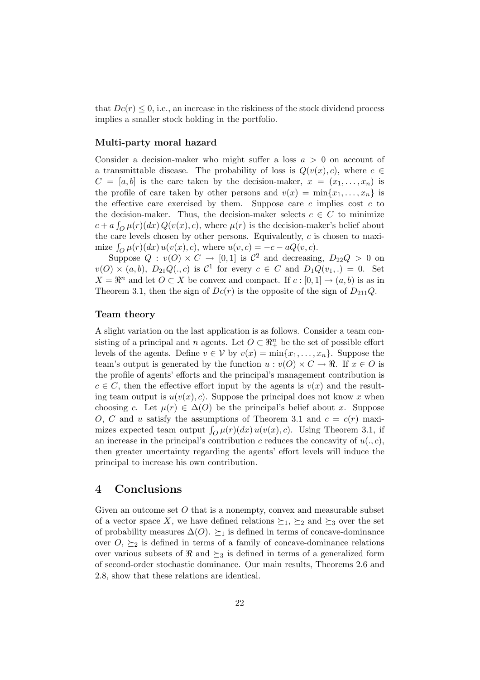that  $Dc(r) \leq 0$ , i.e., an increase in the riskiness of the stock dividend process implies a smaller stock holding in the portfolio.

### Multi-party moral hazard

Consider a decision-maker who might suffer a loss  $a > 0$  on account of a transmittable disease. The probability of loss is  $Q(v(x), c)$ , where  $c \in$  $C = [a, b]$  is the care taken by the decision-maker,  $x = (x_1, \ldots, x_n)$  is the profile of care taken by other persons and  $v(x) = \min\{x_1, \ldots, x_n\}$  is the effective care exercised by them. Suppose care c implies cost  $c$  to the decision-maker. Thus, the decision-maker selects  $c \in C$  to minimize  $c + a \int_{O} \mu(r) (dx) Q(v(x), c)$ , where  $\mu(r)$  is the decision-maker's belief about the care levels chosen by other persons. Equivalently,  $c$  is chosen to maxithe care levels chosen by other persons. Equivalently,  $c$  is<br>mize  $\int_{Q} \mu(r)(dx) u(v(x), c)$ , where  $u(v, c) = -c - aQ(v, c)$ .

Suppose  $Q: v(O) \times C \rightarrow [0,1]$  is  $C^2$  and decreasing,  $D_{22}Q > 0$  on  $v(O) \times (a, b), D_{21}Q(., c)$  is  $C^1$  for every  $c \in C$  and  $D_1Q(v_1,.) = 0$ . Set  $X = \mathbb{R}^n$  and let  $O \subset X$  be convex and compact. If  $c : [0, 1] \to (a, b)$  is as in Theorem 3.1, then the sign of  $Dc(r)$  is the opposite of the sign of  $D_{211}Q$ .

### Team theory

A slight variation on the last application is as follows. Consider a team consisting of a principal and n agents. Let  $O \subset \mathbb{R}^n_+$  be the set of possible effort levels of the agents. Define  $v \in V$  by  $v(x) = \min\{x_1, \ldots, x_n\}$ . Suppose the team's output is generated by the function  $u : v(O) \times C \to \mathbb{R}$ . If  $x \in O$  is the profile of agents' efforts and the principal's management contribution is  $c \in C$ , then the effective effort input by the agents is  $v(x)$  and the resulting team output is  $u(v(x), c)$ . Suppose the principal does not know x when choosing c. Let  $\mu(r) \in \Delta(O)$  be the principal's belief about x. Suppose O, C and u satisfy the assumptions of Theorem 3.1 and  $c = c(r)$  maxi- $\omega$ ,  $\omega$  and *a* satisfy the assumptions of Theorem 3.1 and  $c = c(t)$  maxi-<br>mizes expected team output  $\int_{Q} \mu(r)(dx) u(v(x), c)$ . Using Theorem 3.1, if an increase in the principal's contribution c reduces the concavity of  $u(., c)$ , then greater uncertainty regarding the agents' effort levels will induce the principal to increase his own contribution.

## 4 Conclusions

Given an outcome set  $O$  that is a nonempty, convex and measurable subset of a vector space X, we have defined relations  $\succeq_1$ ,  $\succeq_2$  and  $\succeq_3$  over the set of probability measures  $\Delta(O)$ .  $\succeq_1$  is defined in terms of concave-dominance over  $O, \succeq_2$  is defined in terms of a family of concave-dominance relations over various subsets of  $\Re$  and  $\succeq_3$  is defined in terms of a generalized form of second-order stochastic dominance. Our main results, Theorems 2.6 and 2.8, show that these relations are identical.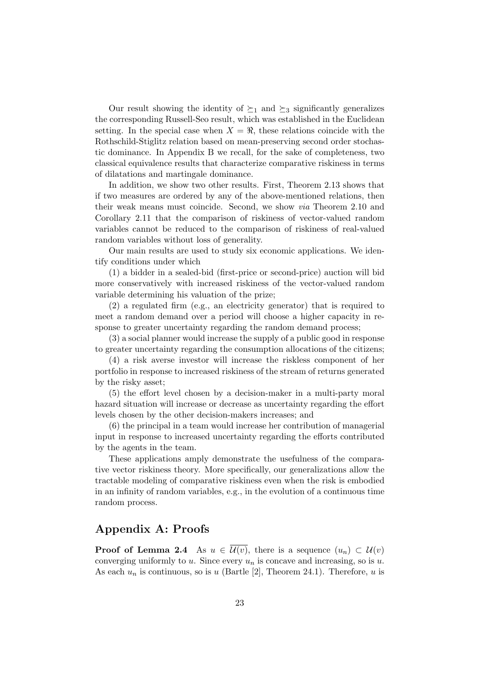Our result showing the identity of  $\succeq_1$  and  $\succeq_3$  significantly generalizes the corresponding Russell-Seo result, which was established in the Euclidean setting. In the special case when  $X = \Re$ , these relations coincide with the Rothschild-Stiglitz relation based on mean-preserving second order stochastic dominance. In Appendix B we recall, for the sake of completeness, two classical equivalence results that characterize comparative riskiness in terms of dilatations and martingale dominance.

In addition, we show two other results. First, Theorem 2.13 shows that if two measures are ordered by any of the above-mentioned relations, then their weak means must coincide. Second, we show via Theorem 2.10 and Corollary 2.11 that the comparison of riskiness of vector-valued random variables cannot be reduced to the comparison of riskiness of real-valued random variables without loss of generality.

Our main results are used to study six economic applications. We identify conditions under which

(1) a bidder in a sealed-bid (first-price or second-price) auction will bid more conservatively with increased riskiness of the vector-valued random variable determining his valuation of the prize;

(2) a regulated firm (e.g., an electricity generator) that is required to meet a random demand over a period will choose a higher capacity in response to greater uncertainty regarding the random demand process;

(3) a social planner would increase the supply of a public good in response to greater uncertainty regarding the consumption allocations of the citizens;

(4) a risk averse investor will increase the riskless component of her portfolio in response to increased riskiness of the stream of returns generated by the risky asset;

(5) the effort level chosen by a decision-maker in a multi-party moral hazard situation will increase or decrease as uncertainty regarding the effort levels chosen by the other decision-makers increases; and

(6) the principal in a team would increase her contribution of managerial input in response to increased uncertainty regarding the efforts contributed by the agents in the team.

These applications amply demonstrate the usefulness of the comparative vector riskiness theory. More specifically, our generalizations allow the tractable modeling of comparative riskiness even when the risk is embodied in an infinity of random variables, e.g., in the evolution of a continuous time random process.

# Appendix A: Proofs

**Proof of Lemma 2.4** As  $u \in \overline{\mathcal{U}(v)}$ , there is a sequence  $(u_n) \subset \mathcal{U}(v)$ converging uniformly to u. Since every  $u_n$  is concave and increasing, so is u. As each  $u_n$  is continuous, so is u (Bartle [2], Theorem 24.1). Therefore, u is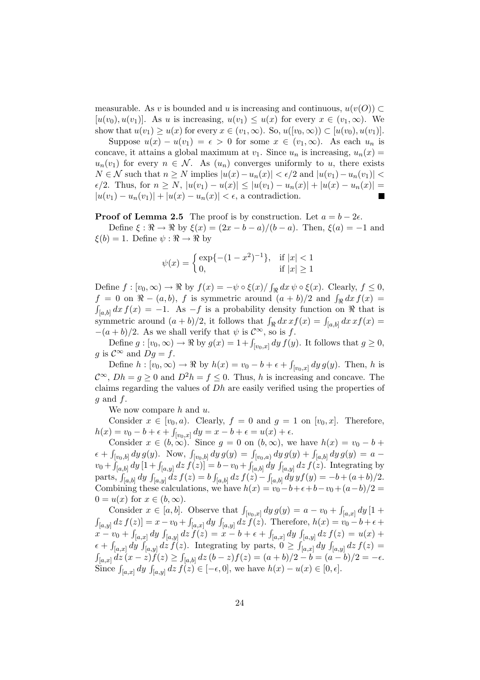measurable. As v is bounded and u is increasing and continuous,  $u(v(O)) \subset$  $[u(v_0), u(v_1)]$ . As u is increasing,  $u(v_1) \leq u(x)$  for every  $x \in (v_1, \infty)$ . We show that  $u(v_1) \geq u(x)$  for every  $x \in (v_1, \infty)$ . So,  $u([v_0, \infty)) \subset [u(v_0), u(v_1)]$ .

Suppose  $u(x) - u(v_1) = \epsilon > 0$  for some  $x \in (v_1, \infty)$ . As each  $u_n$  is concave, it attains a global maximum at  $v_1$ . Since  $u_n$  is increasing,  $u_n(x) =$  $u_n(v_1)$  for every  $n \in \mathcal{N}$ . As  $(u_n)$  converges uniformly to u, there exists  $N \in \mathcal{N}$  such that  $n \geq N$  implies  $|u(x) - u_n(x)| < \epsilon/2$  and  $|u(v_1) - u_n(v_1)| <$  $\epsilon/2$ . Thus, for  $n \ge N$ ,  $|u(v_1) - u(x)| \le |u(v_1) - u_n(x)| + |u(x) - u_n(x)| =$  $|u(v_1) - u_n(v_1)| + |u(x) - u_n(x)| < \epsilon$ , a contradiction.

**Proof of Lemma 2.5** The proof is by construction. Let  $a = b - 2\epsilon$ .

Define  $\xi : \Re \to \Re$  by  $\xi(x) = (2x - b - a)/(b - a)$ . Then,  $\xi(a) = -1$  and  $\xi(b) = 1$ . Define  $\psi : \Re \to \Re$  by

$$
\psi(x) = \begin{cases} \exp\{-(1-x^2)^{-1}\}, & \text{if } |x| < 1\\ 0, & \text{if } |x| \ge 1 \end{cases}
$$

Define  $f : [v_0, \infty) \to \Re$  by  $f(x) = -\psi \circ \xi(x) / \int$  $\oint_{\Re} dx \psi \circ \xi(x)$ . Clearly,  $f \leq 0$ , Define  $f : [v_0, \infty) \to \infty$  by  $f(x) = -\psi \circ \zeta(x)/\int_{\Re} dx \psi \circ \zeta(x)$ . Clearly,  $f \ge 0$ ,<br>  $f = 0$  on  $\Re - (a, b)$ , f is symmetric around  $(a + b)/2$  and  $\int_{\Re} dx f(x) =$  $\int_{[a,b]} dx f(x) = -1$ . As  $-f$  is a probability density function on  $\Re$  that is  $J_{[a,b]}$  as  $J(x) = 1$ . The  $J$  is a probability density function on  $x$  that is symmetric around  $(a + b)/2$ , it follows that  $\int_{\Re} dx \, xf(x) = \int_{[a,b]} dx \, xf(x)$  $-(a + b)/2$ . As we shall verify that  $\psi$  is  $\mathcal{C}^{\infty}$ , so is f.

Define  $g : [v_0, \infty) \to \mathbb{R}$  by  $g(x) = 1 + \int_{[v_0, x]} dy f(y)$ . It follows that  $g \ge 0$ , g is  $\mathcal{C}^{\infty}$  and  $Dg = f$ .

Define  $h : [v_0, \infty) \to \Re$  by  $h(x) = v_0 - b + \epsilon + \beta$  $\int_{[v_0,x]} dy \, g(y)$ . Then, h is  $\mathcal{C}^{\infty}$ ,  $Dh = q > 0$  and  $D^2h = f \leq 0$ . Thus, h is increasing and concave. The claims regarding the values of Dh are easily verified using the properties of  $g$  and  $f$ .

We now compare  $h$  and  $u$ .

Consider  $x \in [v_0, a)$ . Clearly,  $f = 0$  and  $g = 1$  on  $[v_0, x]$ . Therefore,  $h(x) = v_0 - b + \epsilon + \int_{[v_0, x]} dy = x - b + \epsilon = u(x) + \epsilon.$ 

Consider  $x \in (b, \infty)$ . Since  $g = 0$  on  $(b, \infty)$ , we have  $h(x) = v_0 - b +$ Consider  $x \in (0, \infty)$ . Since  $y = 0$  on  $(0, \infty)$ , we have  $h(x) = v_0 - 0 +$ <br>  $\epsilon + \int_{[v_0, b]} dy g(y)$ . Now,  $\int_{[v_0, b]} dy g(y) = \int_{[v_0, a]} dy g(y) + \int_{[a, b]} dy g(y) = a$  $v_0 + \int_{[a,b]} dy [1 + \int_{[a,y]} dz f(z)] = b - v_0 + \int_{[a,b]} dy \int_{[a,y]} dz f(z)$ . Integrating by<br>  $v_0 + \int_{[a,b]} dy [1 + \int_{[a,y]} dz f(z)] = b - v_0 + \int_{[a,b]} dy \int_{[a,y]} dz f(z)$ . Integrating by parts,  $\int_{[a,b]} dy \int_{[a,y]} dz f(z) = b \int_{[a,b]} dz f(z) - \int_{[a,b]} dy y f(y) = -b + (a+b)/2.$ Combining these calculations, we have  $h(x) = v_0 - b + \epsilon + b - v_0 + (a - b)/2 =$  $0 = u(x)$  for  $x \in (b, \infty)$ .

Consider  $x \in [a, b]$ . Observe that  $\int_{[v_0, x]} dy g(y) = a - v_0 + \int$ Consider  $x \in [a, b]$ . Observe that  $\int_{[v_0, x]} dy g(y) = a - v_0 + \int_{[a, x]} dy [1 +$  $\int_{[a,y]} dz f(z) = x - v_0 + \int$  $\begin{aligned} [z] &= x - v_0 + \int_{[a,x]} dy \int_{[a,y]} dz f(z). \text{ Therefore, } h(x) = v_0 - b + \epsilon + \end{aligned}$  $\int_{[a,y]}$  (x) = x  $\int_{[a,y]}$  (x) = y (x) = x - b + c +  $\int_{[a,x]}$  dy  $\int_{[a,y]}$  dz  $f(z)$  =  $u(x)$  +  $\frac{x}{\epsilon + \int}$  $\int_{[a,x]} dy \int_{[a,y]} dz f(z)$ . Integrating by parts,  $0 \geq \int_{[a,x]} dy$  $\begin{cases}\n\frac{d}{dx} & \text{if } |a| \leq |a| \leq |a| \leq |a| \leq |a| \leq |a| \leq |a| \leq |a| \leq |a| \leq |a| \leq |a| \leq |a| \leq |a| \leq |a| \leq |a| \leq |a| \leq |a| \leq |a| \leq |a| \leq |a| \leq |a| \leq |a| \leq |a| \leq |a| \leq |a| \leq |a| \leq |a| \leq |a| \leq |a| \leq |a| \leq |a| \leq |a| \leq |a| \leq |a|$  $\int_{[a,x]}^{[a,x]} \frac{dy}{dx} \frac{J_{[a,y]}(xz)}{f(z)} \geq 0$  $\int_{[a,b]} dz (b-z) f(z) = (a+b)/2 - b = (a-b)/2 = -\epsilon.$  $\int_{[a,x]} \int_{[a,x]} \int_{[a,x]} dy \int_{[a,y]} dz \int_{[a,b]} dz \quad (b^2, b^2) = (a^2 + b^2)/2$   $b^2 - (a^2 + b^2)/2$ <br>Since  $\int_{[a,x]} dy \int_{[a,y]} dz \int_{[a,b]} dz \quad (c^2, c^2) = (a^2 + b^2)/2$   $c^2 - (a^2 + b^2)/2$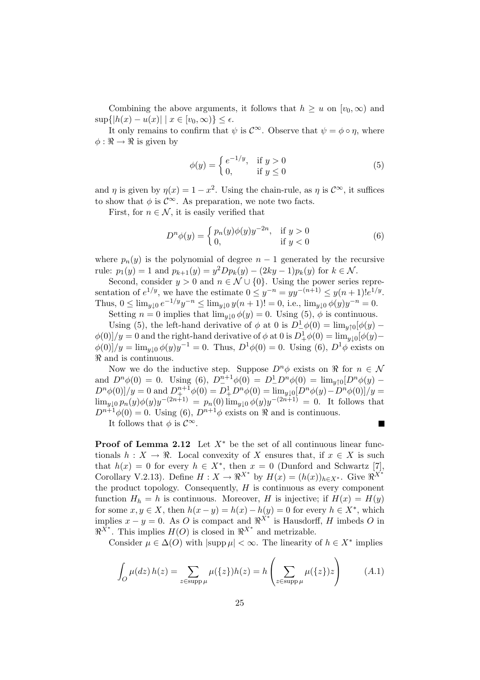Combining the above arguments, it follows that  $h \geq u$  on  $[v_0, \infty)$  and  $\sup\{|h(x) - u(x)| \mid x \in [v_0, \infty)\}\leq \epsilon.$ 

It only remains to confirm that  $\psi$  is  $\mathcal{C}^{\infty}$ . Observe that  $\psi = \phi \circ \eta$ , where  $\phi: \Re \to \Re$  is given by

$$
\phi(y) = \begin{cases} e^{-1/y}, & \text{if } y > 0 \\ 0, & \text{if } y \le 0 \end{cases}
$$
 (5)

and  $\eta$  is given by  $\eta(x) = 1 - x^2$ . Using the chain-rule, as  $\eta$  is  $\mathcal{C}^{\infty}$ , it suffices to show that  $\phi$  is  $\mathcal{C}^{\infty}$ . As preparation, we note two facts.

First, for  $n \in \mathcal{N}$ , it is easily verified that

$$
D^n \phi(y) = \begin{cases} p_n(y)\phi(y)y^{-2n}, & \text{if } y > 0\\ 0, & \text{if } y < 0 \end{cases}
$$
 (6)

where  $p_n(y)$  is the polynomial of degree  $n-1$  generated by the recursive rule:  $p_1(y) = 1$  and  $p_{k+1}(y) = y^2 D p_k(y) - (2ky - 1)p_k(y)$  for  $k \in \mathcal{N}$ .

Second, consider  $y > 0$  and  $n \in \mathcal{N} \cup \{0\}$ . Using the power series representation of  $e^{1/y}$ , we have the estimate  $0 \leq y^{-n} = yy^{-(n+1)} \leq y(n+1)!e^{1/y}$ . Thus,  $0 \le \lim_{y \downarrow 0} e^{-1/y} y^{-n} \le \lim_{y \downarrow 0} y(n+1)! = 0$ , i.e.,  $\lim_{y \downarrow 0} \phi(y) y^{-n} = 0$ .

Setting  $n = 0$  implies that  $\lim_{y \downarrow 0} \phi(y) = 0$ . Using (5),  $\phi$  is continuous.

Using (5), the left-hand derivative of  $\phi$  at 0 is  $D^{\perp}_{-}\phi(0) = \lim_{y \uparrow 0} [\phi(y) \phi(0)/y = 0$  and the right-hand derivative of  $\phi$  at 0 is  $D^1_+\phi(0) = \lim_{y\downarrow 0} [\phi(y) \phi(0)/y = \lim_{y \downarrow 0} \phi(y)y^{-1} = 0$ . Thus,  $D^1\phi(0) = 0$ . Using (6),  $D^1\phi$  exists on  $\Re$  and is continuous.

Now we do the inductive step. Suppose  $D^n\phi$  exists on  $\Re$  for  $n \in \mathcal{N}$ and  $D^n\phi(0) = 0$ . Using (6),  $D^{n+1}_{-}\phi(0) = D^1_{-}D^n\phi(0) = \lim_{y \uparrow 0} [D^n\phi(y) D^n\phi(0)/y = 0$  and  $D^{n+1}_+\phi(0) = D^1_+D^n\phi(0) = \lim_{y\downarrow 0} [D^n\phi(y) - D^n\phi(0)]/y = 0$  $\lim_{y\downarrow 0} p_n(y)\phi(y)y^{-(2n+1)} = p_n(0) \lim_{y\downarrow 0} \phi(y)y^{-(2n+1)} = 0.$  It follows that  $D^{n+1}\phi(0) = 0$ . Using (6),  $D^{n+1}\phi$  exists on  $\Re$  and is continuous.

It follows that  $\phi$  is  $\mathcal{C}^{\infty}$ .

**Proof of Lemma 2.12** Let  $X^*$  be the set of all continuous linear functionals  $h: X \to \mathbb{R}$ . Local convexity of X ensures that, if  $x \in X$  is such that  $h(x) = 0$  for every  $h \in X^*$ , then  $x = 0$  (Dunford and Schwartz [7], Corollary V.2.13). Define  $H: X \to \mathbb{R}^{X^*}$  by  $H(x) = (h(x))_{h \in X^*}$ . Give  $\mathbb{R}^{X^*}$ the product topology. Consequently,  $H$  is continuous as every component function  $H_h = h$  is continuous. Moreover, H is injective; if  $H(x) = H(y)$ for some  $x, y \in X$ , then  $h(x - y) = h(x) - h(y) = 0$  for every  $h \in X^*$ , which implies  $x - y = 0$ . As O is compact and  $\Re^{X^*}$  is Hausdorff, H imbeds O in  $\mathbb{R}^{\tilde{X}^*}$ . This implies  $H(O)$  is closed in  $\mathbb{R}^{X^*}$  and metrizable.

Consider  $\mu \in \Delta(O)$  with  $|\text{supp }\mu| < \infty$ . The linearity of  $h \in X^*$  implies

$$
\int_{O} \mu(dz) h(z) = \sum_{z \in \text{supp }\mu} \mu(\{z\}) h(z) = h\left(\sum_{z \in \text{supp }\mu} \mu(\{z\}) z\right) \tag{A.1}
$$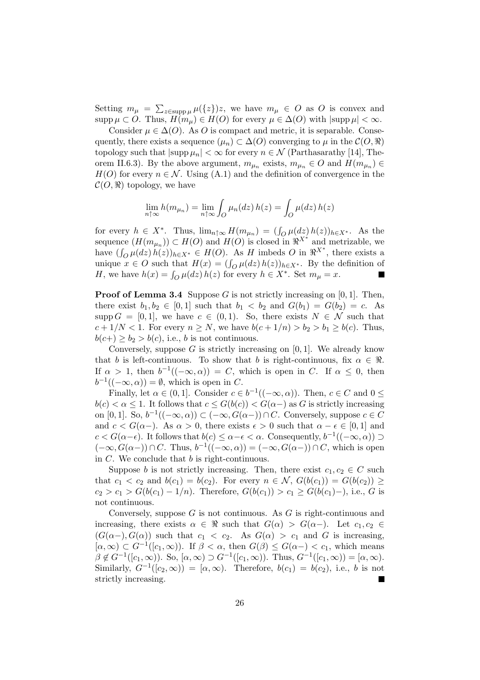Setting  $m_{\mu} = \sum_{z \in \text{supp }\mu} \mu({z})z$ , we have  $m_{\mu} \in O$  as O is convex and supp  $\mu \subset O$ . Thus,  $H(m_{\mu}) \in H(O)$  for every  $\mu \in \Delta(O)$  with  $|\text{supp }\mu| < \infty$ .

Consider  $\mu \in \Delta(O)$ . As O is compact and metric, it is separable. Consequently, there exists a sequence  $(\mu_n) \subset \Delta(O)$  converging to  $\mu$  in the  $\mathcal{C}(O, \Re)$ topology such that  $|\text{supp }\mu_n| < \infty$  for every  $n \in \mathcal{N}$  (Parthasarathy [14], Theorem II.6.3). By the above argument,  $m_{\mu_n}$  exists,  $m_{\mu_n} \in O$  and  $H(m_{\mu_n}) \in$  $H(O)$  for every  $n \in \mathcal{N}$ . Using  $(A,1)$  and the definition of convergence in the  $\mathcal{C}(O,\Re)$  topology, we have

$$
\lim_{n \uparrow \infty} h(m_{\mu_n}) = \lim_{n \uparrow \infty} \int_O \mu_n(dz) h(z) = \int_O \mu(dz) h(z)
$$

for every  $h \in X^*$ . Thus,  $\lim_{n \uparrow \infty} H(m_{\mu_n}) = (\int_{O} \mu(dz) h(z))_{h \in X^*}$ . As the sequence  $(H(m_{\mu_n})) \subset H(O)$  and  $H(O)$  is closed in  $\mathbb{R}^{X^*}$  and metrizable, we bave  $(\int_{Q} \mu(dz) h(z))_{h\in X^*} \in H(Q)$ . As H imbeds O in  $\Re^{X^*}$ , there exists a mave  $(\int_{O} \mu(\alpha z) h(z))_{h \in X^*} \in H(O)$ . As H implies  $O$  in  $\pi$ , there exists a unique  $x \in O$  such that  $H(x) = (\int_{O} \mu(dz) h(z))_{h \in X^*}$ . By the definition of imitude  $x \in \mathcal{O}$  such that  $H(x) = \int_{\mathcal{O}} \mu(\alpha z) h(z) \log x$ . By the contract  $H$ , we have  $h(x) = \int_{\mathcal{O}} \mu(dz) h(z)$  for every  $h \in X^*$ . Set  $m_{\mu} = x$ .

**Proof of Lemma 3.4** Suppose G is not strictly increasing on  $[0, 1]$ . Then, there exist  $b_1, b_2 \in [0, 1]$  such that  $b_1 < b_2$  and  $G(b_1) = G(b_2) = c$ . As supp  $G = [0, 1]$ , we have  $c \in (0, 1)$ . So, there exists  $N \in \mathcal{N}$  such that  $c+1/N < 1$ . For every  $n \geq N$ , we have  $b(c+1/n) > b_2 > b_1 \geq b(c)$ . Thus,  $b(c+) \geq b_2 > b(c)$ , i.e., b is not continuous.

Conversely, suppose  $G$  is strictly increasing on  $[0, 1]$ . We already know that b is left-continuous. To show that b is right-continuous, fix  $\alpha \in \mathbb{R}$ . If  $\alpha > 1$ , then  $b^{-1}((-\infty, \alpha)) = C$ , which is open in C. If  $\alpha \leq 0$ , then  $b^{-1}((-\infty,\alpha)) = \emptyset$ , which is open in C.

Finally, let  $\alpha \in (0,1]$ . Consider  $c \in b^{-1}((-\infty,\alpha))$ . Then,  $c \in C$  and  $0 \leq$  $b(c) < \alpha \leq 1$ . It follows that  $c \leq G(b(c)) < G(\alpha-)$  as G is strictly increasing on [0, 1]. So,  $b^{-1}((-\infty, \alpha)) \subset (-\infty, G(\alpha-)) \cap C$ . Conversely, suppose  $c \in C$ and  $c < G(\alpha-)$ . As  $\alpha > 0$ , there exists  $\epsilon > 0$  such that  $\alpha - \epsilon \in [0,1]$  and  $c < G(\alpha - \epsilon)$ . It follows that  $b(c) \leq \alpha - \epsilon < \alpha$ . Consequently,  $b^{-1}((-\infty, \alpha)) \supset$  $(-\infty, G(\alpha)) \cap C$ . Thus,  $b^{-1}((-\infty, \alpha)) = (-\infty, G(\alpha-)) \cap C$ , which is open in  $C$ . We conclude that  $b$  is right-continuous.

Suppose b is not strictly increasing. Then, there exist  $c_1, c_2 \in C$  such that  $c_1 < c_2$  and  $b(c_1) = b(c_2)$ . For every  $n \in \mathcal{N}$ ,  $G(b(c_1)) = G(b(c_2)) \geq$  $c_2 > c_1 > G(b(c_1) - 1/n)$ . Therefore,  $G(b(c_1)) > c_1 \geq G(b(c_1) - 1)$ , i.e., G is not continuous.

Conversely, suppose  $G$  is not continuous. As  $G$  is right-continuous and increasing, there exists  $\alpha \in \Re$  such that  $G(\alpha) > G(\alpha-)$ . Let  $c_1, c_2 \in$  $(G(\alpha-), G(\alpha))$  such that  $c_1 < c_2$ . As  $G(\alpha) > c_1$  and G is increasing,  $[\alpha, \infty) \subset G^{-1}([c_1, \infty))$ . If  $\beta < \alpha$ , then  $G(\beta) \leq G(\alpha -) < c_1$ , which means  $\beta \notin G^{-1}([c_1, \infty))$ . So,  $[\alpha, \infty) \supset G^{-1}([c_1, \infty))$ . Thus,  $G^{-1}([c_1, \infty)) = [\alpha, \infty)$ . Similarly,  $G^{-1}([c_2,\infty)) = [\alpha,\infty)$ . Therefore,  $b(c_1) = b(c_2)$ , i.e., b is not strictly increasing.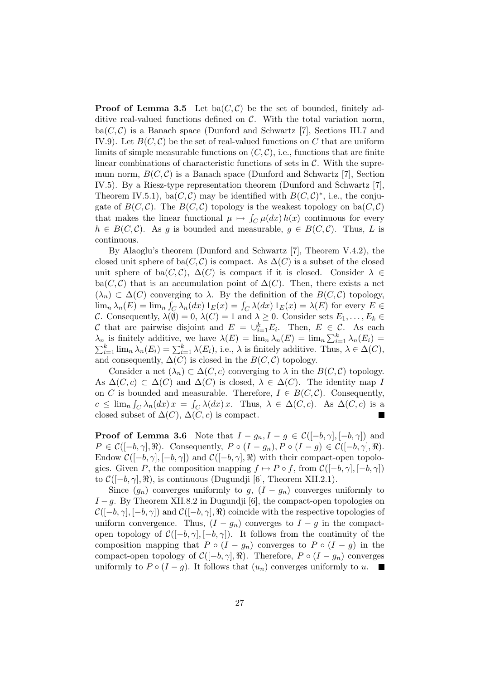**Proof of Lemma 3.5** Let ba $(C, C)$  be the set of bounded, finitely additive real-valued functions defined on  $\mathcal{C}$ . With the total variation norm,  $ba(C, C)$  is a Banach space (Dunford and Schwartz [7], Sections III.7 and IV.9). Let  $B(C, C)$  be the set of real-valued functions on C that are uniform limits of simple measurable functions on  $(C, \mathcal{C})$ , i.e., functions that are finite linear combinations of characteristic functions of sets in  $\mathcal{C}$ . With the supremum norm,  $B(C, C)$  is a Banach space (Dunford and Schwartz [7], Section IV.5). By a Riesz-type representation theorem (Dunford and Schwartz [7], Theorem IV.5.1), ba $(C, C)$  may be identified with  $B(C, C)^*$ , i.e., the conjugate of  $B(C, C)$ . The  $B(C, C)$  topology is the weakest topology on ba $(C, C)$ that makes the linear functional  $\mu \mapsto \int_C \mu(dx) h(x)$  continuous for every  $h \in B(C, C)$ . As g is bounded and measurable,  $g \in B(C, C)$ . Thus, L is continuous.

By Alaoglu's theorem (Dunford and Schwartz [7], Theorem V.4.2), the closed unit sphere of ba( $C, C$ ) is compact. As  $\Delta(C)$  is a subset of the closed unit sphere of ba( $C, C$ ),  $\Delta(C)$  is compact if it is closed. Consider  $\lambda \in$ ba( $C, C$ ) that is an accumulation point of  $\Delta(C)$ . Then, there exists a net  $(\lambda_n) \subset \Delta(C)$  converging to  $\lambda$ . By the definition of the  $B(C, C)$  topology,  $\lim_{n} \lambda_n(E) = \lim_{n} \int_C \lambda_n(dx) 1_E(x) = \int_C \lambda(dx) 1_E(x) = \lambda(E)$  for every  $E \in$ C. Consequently,  $\lambda(\tilde{\emptyset}) = 0$ ,  $\lambda(C) = 1$  and  $\lambda \geq 0$ . Consider sets  $E_1, \ldots, E_k \in$ C that are pairwise disjoint and  $E = \bigcup_{i=1}^{k} E_i$ . Then,  $E \in \mathcal{C}$ . As each Let that are pairwise disjoint and  $E = \bigcup_{i=1}^{n} E_i$ . Then,  $E \in \mathcal{C}$ . As each  $\lambda_n$  is finitely additive, we have  $\lambda(E) = \lim_n \lambda_n(E) = \lim_n \sum_{i=1}^{k} \lambda_n(E_i) = \sum_{i=1}^{k} \lambda(n(E_i)) = \sum_{i=1}^{k} \lambda(E_i)$ , i.e.,  $\lambda$  is finitely additive. T and consequently,  $\Delta(C)$  is closed in the  $B(C, C)$  topology.

Consider a net  $(\lambda_n) \subset \Delta(C, c)$  converging to  $\lambda$  in the  $B(C, C)$  topology. As  $\Delta(C, c) \subset \Delta(C)$  and  $\Delta(C)$  is closed,  $\lambda \in \Delta(C)$ . The identity map I on C is bounded and measurable. Therefore,  $I \in B(C, C)$ . Consequently,  $c \leq \lim_{n} \int_C \lambda_n(dx) x = \int_C \lambda(dx) x$ . Thus,  $\lambda \in \Delta(C, c)$ . As  $\Delta(C, c)$  is a closed subset of  $\Delta(C)$ ,  $\Delta(C, c)$  is compact.

**Proof of Lemma 3.6** Note that  $I - g_n, I - g \in \mathcal{C}([-b, \gamma], [-b, \gamma])$  and  $P \in \mathcal{C}([-b,\gamma],\Re)$ . Consequently,  $P \circ (I - g_n), P \circ (I - g) \in \mathcal{C}([-b,\gamma],\Re)$ . Endow  $\mathcal{C}([-b,\gamma], [-b,\gamma])$  and  $\mathcal{C}([-b,\gamma],\mathbb{R})$  with their compact-open topologies. Given P, the composition mapping  $f \mapsto P \circ f$ , from  $\mathcal{C}([-b,\gamma], [-b,\gamma])$ to  $\mathcal{C}([-b,\gamma],\Re)$ , is continuous (Dugundji [6], Theorem XII.2.1).

Since  $(g_n)$  converges uniformly to g,  $(I - g_n)$  converges uniformly to  $I-g$ . By Theorem XII.8.2 in Dugundji [6], the compact-open topologies on  $\mathcal{C}([-b,\gamma], [-b,\gamma])$  and  $\mathcal{C}([-b,\gamma], \Re)$  coincide with the respective topologies of uniform convergence. Thus,  $(I - g_n)$  converges to  $I - g$  in the compactopen topology of  $\mathcal{C}([-b,\gamma], [-b,\gamma])$ . It follows from the continuity of the composition mapping that  $P \circ (I - g_n)$  converges to  $P \circ (I - g)$  in the compact-open topology of  $C([-b,\gamma], \Re)$ . Therefore, P ∘  $(I - g_n)$  converges uniformly to  $P \circ (I - g)$ . It follows that  $(u_n)$  converges uniformly to u.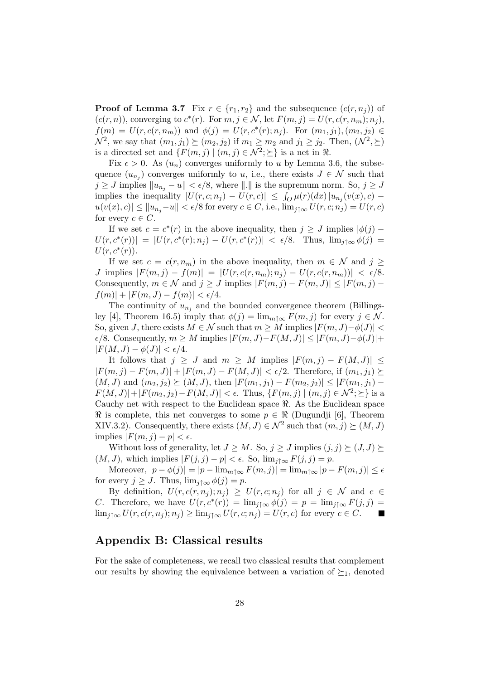**Proof of Lemma 3.7** Fix  $r \in \{r_1, r_2\}$  and the subsequence  $(c(r, n_i))$  of  $(c(r, n))$ , converging to  $c^*(r)$ . For  $m, j \in \mathcal{N}$ , let  $F(m, j) = U(r, c(r, n_m); n_j)$ ,  $f(m) = U(r, c(r, n_m))$  and  $\phi(j) = U(r, c^*(r); n_j)$ . For  $(m_1, j_1), (m_2, j_2) \in$  $\mathcal{N}^2$ , we say that  $(m_1, j_1) \succeq (m_2, j_2)$  if  $m_1 \geq m_2$  and  $j_1 \geq j_2$ . Then,  $(\mathcal{N}^2, \succeq)$ is a directed set and  $\{F(m, j) | (m, j) \in \mathcal{N}^2; \geq\}$  is a net in  $\Re$ .

Fix  $\epsilon > 0$ . As  $(u_n)$  converges uniformly to u by Lemma 3.6, the subsequence  $(u_{n_j})$  converges uniformly to u, i.e., there exists  $J \in \mathcal{N}$  such that  $j \geq J$  implies  $||u_{n_j} - u|| < \epsilon/8$ , where  $||.||$  is the supremum norm. So,  $j \geq J$ implies the inequality  $|U(r, c; n_j) - U(r, c)| \leq \int_{Q} \mu(r) (dx) |u_{n_j}(v(x), c)|$  $|u(v(x), c)| \leq ||u_{n_i} - u|| < \epsilon/8$  for every  $c \in C$ , i.e.,  $\lim_{j \uparrow \infty} U(r, c; n_j) = U(r, c)$ for every  $c \in C$ .

If we set  $c = c^*(r)$  in the above inequality, then  $j \geq J$  implies  $|\phi(j) U(r, c^*(r)) = |U(r, c^*(r); n_j) - U(r, c^*(r))| < \epsilon/8$ . Thus,  $\lim_{j \uparrow \infty} \phi(j) =$  $U(r, c^*(r)).$ 

If we set  $c = c(r, n_m)$  in the above inequality, then  $m \in \mathcal{N}$  and  $j \geq$ J implies  $|F(m, j) - f(m)| = |U(r, c(r, n_m); n_j) - U(r, c(r, n_m))| < \epsilon/8$ . Consequently,  $m \in \mathcal{N}$  and  $j \geq J$  implies  $|F(m, j) - F(m, J)| \leq |F(m, j) |f(m)| + |F(m, J) - f(m)| < \epsilon/4.$ 

The continuity of  $u_{n_j}$  and the bounded convergence theorem (Billingsley [4], Theorem 16.5) imply that  $\phi(j) = \lim_{m \uparrow \infty} F(m, j)$  for every  $j \in \mathcal{N}$ . So, given J, there exists  $M \in \mathcal{N}$  such that  $m \geq M$  implies  $|F(m, J) - \phi(J)|$  $\epsilon/8$ . Consequently,  $m \geq M$  implies  $|F(m, J) - F(M, J)| \leq |F(m, J) - \phi(J)| +$  $|F(M, J) - \phi(J)| < \epsilon/4.$ 

It follows that  $j \geq J$  and  $m \geq M$  implies  $|F(m, j) - F(M, J)| \leq$  $|F(m, j) - F(m, J)| + |F(m, J) - F(M, J)| < \epsilon/2$ . Therefore, if  $(m_1, j_1) \succeq$  $(M, J)$  and  $(m_2, j_2) \succeq (M, J)$ , then  $|F(m_1, j_1) - F(m_2, j_2)| \leq |F(m_1, j_1) - F(m_2, j_2)|$  $|F(M, J)| + |F(m_2, j_2) - F(M, J)| < \epsilon$ . Thus,  $\{F(m, j) | (m, j) \in \mathcal{N}^2; \geq\}$  is a Cauchy net with respect to the Euclidean space  $\Re$ . As the Euclidean space  $\Re$  is complete, this net converges to some  $p \in \Re$  (Dugundji [6], Theorem XIV.3.2). Consequently, there exists  $(M, J) \in \mathcal{N}^2$  such that  $(m, j) \succeq (M, J)$ implies  $|F(m, j) - p| < \epsilon$ .

Without loss of generality, let  $J \geq M$ . So,  $j \geq J$  implies  $(j, j) \succeq (J, J) \succeq$  $(M, J)$ , which implies  $|F(j, j) - p| < \epsilon$ . So,  $\lim_{j \uparrow \infty} F(j, j) = p$ .

Moreover,  $|p - \phi(j)| = |p - \lim_{m \uparrow \infty} F(m, j)| = \lim_{m \uparrow \infty} |p - F(m, j)| \le \epsilon$ for every  $j \geq J$ . Thus,  $\lim_{j \uparrow \infty} \phi(j) = p$ .

By definition,  $U(r, c(r, n_j); n_j) \geq U(r, c; n_j)$  for all  $j \in \mathcal{N}$  and  $c \in$ C. Therefore, we have  $U(r, c^*(r)) = \lim_{j \uparrow \infty} \phi(j) = p = \lim_{j \uparrow \infty} F(j, j) =$  $\lim_{i \uparrow \infty} U(r, c(r, n_i); n_i) \geq \lim_{i \uparrow \infty} U(r, c; n_i) = U(r, c)$  for every  $c \in C$ .

## Appendix B: Classical results

For the sake of completeness, we recall two classical results that complement our results by showing the equivalence between a variation of  $\succeq_1$ , denoted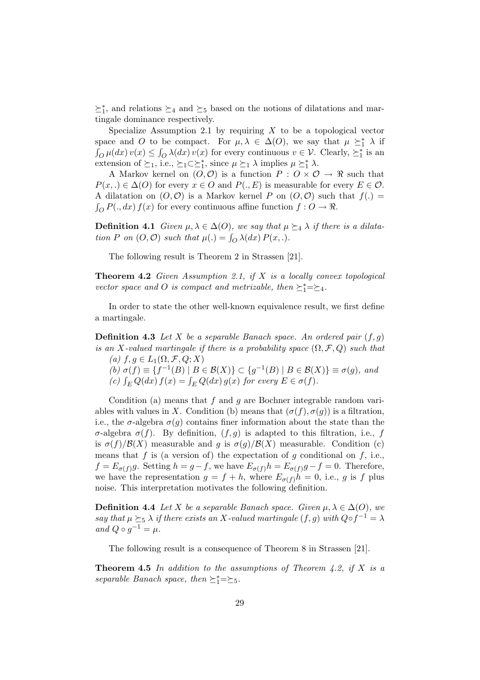$\succeq_1^*$ , and relations  $\succeq_4$  and  $\succeq_5$  based on the notions of dilatations and martingale dominance respectively.

Specialize Assumption 2.1 by requiring  $X$  to be a topological vector space and O to be compact. For  $\mu, \lambda \in \Delta(O)$ , we say that  $\mu \geq^*_{1} \lambda$  if  $\int_{O} \mu(dx) v(x) \leq \int_{O} \lambda(dx) v(x)$  for every continuous  $v \in V$ . Clearly,  $\succeq_1^*$  is an extension of  $\succeq_1$ , i.e.,  $\succeq_1 \subset \succeq_1^*$ , since  $\mu \succeq_1 \lambda$  implies  $\mu \succeq_1^* \lambda$ .

A Markov kernel on  $(O, O)$  is a function  $P : O \times O \rightarrow \mathbb{R}$  such that  $P(x,.) \in \Delta(O)$  for every  $x \in O$  and  $P(., E)$  is measurable for every  $E \in O$ . A dilatation on  $(O, O)$  is a Markov kernel P on  $(O, O)$  such that  $f(.) =$  $\int_{\Omega} P(., dx) f(x)$  for every continuous affine function  $f: O \to \Re$ .

**Definition 4.1** Given  $\mu, \lambda \in \Delta(O)$ , we say that  $\mu \succeq_4 \lambda$  if there is a dilata-**Definition 4.1** Given  $\mu$ ,  $\lambda \in \Delta(O)$ , we sug that  $\mu$ <br>tion P on  $(O, O)$  such that  $\mu(.) = \int_O \lambda(dx) P(x, .).$ 

The following result is Theorem 2 in Strassen [21].

**Theorem 4.2** Given Assumption 2.1, if  $X$  is a locally convex topological vector space and O is compact and metrizable, then  $\succeq_1^*=\succeq_4$ .

In order to state the other well-known equivalence result, we first define a martingale.

**Definition 4.3** Let X be a separable Banach space. An ordered pair  $(f, g)$ is an X-valued martingale if there is a probability space  $(\Omega, \mathcal{F}, Q)$  such that (a)  $f, g \in L_1(\Omega, \mathcal{F}, Q; X)$ 

(b)  $\sigma(f) \equiv \{f^{-1}(B) \mid B \in \mathcal{B}(X)\} \subset \{g^{-1}(B) \mid B \in \mathcal{B}(X)\} \equiv \sigma(g)$ , and (v)  $\sigma(j) = \frac{1}{L} \sigma(j) + D \in \mathcal{D}(X)$   $\int_C \sigma(j) \int_D \sigma(k) k \sigma(k)$ <br>
(c)  $\int_E Q(dx) f(x) = \int_E Q(dx) g(x)$  for every  $E \in \sigma(f)$ .

Condition (a) means that  $f$  and  $g$  are Bochner integrable random variables with values in X. Condition (b) means that  $(\sigma(f), \sigma(g))$  is a filtration, i.e., the  $\sigma$ -algebra  $\sigma(q)$  contains finer information about the state than the σ-algebra  $\sigma(f)$ . By definition,  $(f, g)$  is adapted to this filtration, i.e., f is  $\sigma(f)/\mathcal{B}(X)$  measurable and g is  $\sigma(g)/\mathcal{B}(X)$  measurable. Condition (c) means that f is (a version of) the expectation of q conditional on f, i.e.,  $f = E_{\sigma(f)}g$ . Setting  $h = g - f$ , we have  $E_{\sigma(f)}h = E_{\sigma(f)}g - f = 0$ . Therefore, we have the representation  $g = f + h$ , where  $E_{\sigma(f)}h = 0$ , i.e., g is f plus noise. This interpretation motivates the following definition.

**Definition 4.4** Let X be a separable Banach space. Given  $\mu, \lambda \in \Delta(O)$ , we say that  $\mu \succeq_5 \lambda$  if there exists an X-valued martingale  $(f, g)$  with  $Q \circ f^{-1} = \lambda$ and  $Q \circ g^{-1} = \mu$ .

The following result is a consequence of Theorem 8 in Strassen [21].

**Theorem 4.5** In addition to the assumptions of Theorem 4.2, if X is a separable Banach space, then  $\succeq_1^*=\succeq_5$ .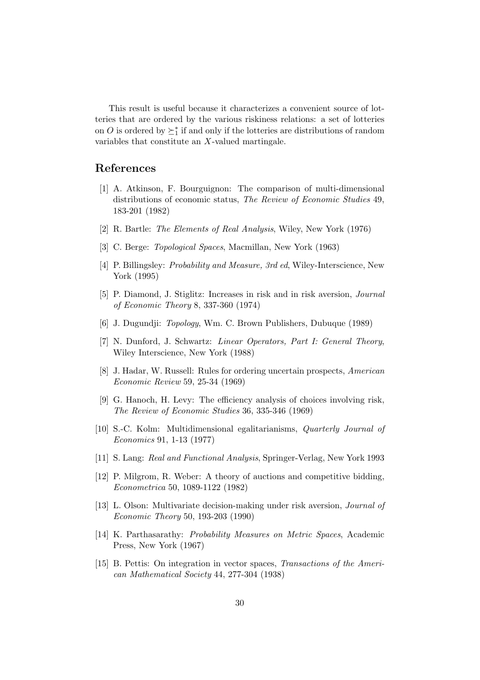This result is useful because it characterizes a convenient source of lotteries that are ordered by the various riskiness relations: a set of lotteries on O is ordered by  $\succeq_1^*$  if and only if the lotteries are distributions of random variables that constitute an X-valued martingale.

# References

- [1] A. Atkinson, F. Bourguignon: The comparison of multi-dimensional distributions of economic status, The Review of Economic Studies 49, 183-201 (1982)
- [2] R. Bartle: The Elements of Real Analysis, Wiley, New York (1976)
- [3] C. Berge: Topological Spaces, Macmillan, New York (1963)
- [4] P. Billingsley: Probability and Measure, 3rd ed, Wiley-Interscience, New York (1995)
- [5] P. Diamond, J. Stiglitz: Increases in risk and in risk aversion, Journal of Economic Theory 8, 337-360 (1974)
- [6] J. Dugundji: Topology, Wm. C. Brown Publishers, Dubuque (1989)
- [7] N. Dunford, J. Schwartz: Linear Operators, Part I: General Theory, Wiley Interscience, New York (1988)
- [8] J. Hadar, W. Russell: Rules for ordering uncertain prospects, American Economic Review 59, 25-34 (1969)
- [9] G. Hanoch, H. Levy: The efficiency analysis of choices involving risk, The Review of Economic Studies 36, 335-346 (1969)
- [10] S.-C. Kolm: Multidimensional egalitarianisms, Quarterly Journal of Economics 91, 1-13 (1977)
- [11] S. Lang: Real and Functional Analysis, Springer-Verlag, New York 1993
- [12] P. Milgrom, R. Weber: A theory of auctions and competitive bidding, Econometrica 50, 1089-1122 (1982)
- [13] L. Olson: Multivariate decision-making under risk aversion, Journal of Economic Theory 50, 193-203 (1990)
- [14] K. Parthasarathy: Probability Measures on Metric Spaces, Academic Press, New York (1967)
- [15] B. Pettis: On integration in vector spaces, Transactions of the American Mathematical Society 44, 277-304 (1938)